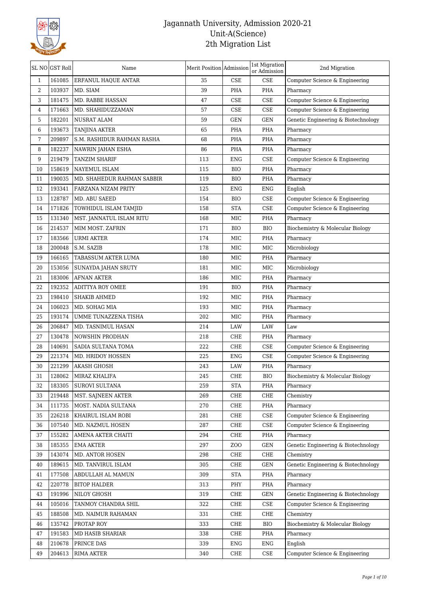

|                | SL NO GST Roll | Name                       | Merit Position Admission |                             | 1st Migration<br>or Admission | 2nd Migration                       |
|----------------|----------------|----------------------------|--------------------------|-----------------------------|-------------------------------|-------------------------------------|
| 1              | 161085         | ERFANUL HAQUE ANTAR        | 35                       | <b>CSE</b>                  | <b>CSE</b>                    | Computer Science & Engineering      |
| $\overline{2}$ | 103937         | MD. SIAM                   | 39                       | PHA                         | PHA                           | Pharmacy                            |
| 3              | 181475         | MD. RABBE HASSAN           | 47                       | CSE                         | <b>CSE</b>                    | Computer Science & Engineering      |
| 4              | 171663         | MD. SHAHIDUZZAMAN          | 57                       | $\ensuremath{\mathsf{CSE}}$ | <b>CSE</b>                    | Computer Science & Engineering      |
| 5              | 182201         | NUSRAT ALAM                | 59                       | <b>GEN</b>                  | <b>GEN</b>                    | Genetic Engineering & Biotechnology |
| 6              | 193673         | TANJINA AKTER              | 65                       | PHA                         | PHA                           | Pharmacy                            |
| 7              | 209897         | S.M. RASHIDUR RAHMAN RASHA | 68                       | PHA                         | PHA                           | Pharmacy                            |
| 8              | 182237         | NAWRIN JAHAN ESHA          | 86                       | PHA                         | PHA                           | Pharmacy                            |
| 9              | 219479         | <b>TANZIM SHARIF</b>       | 113                      | ENG                         | <b>CSE</b>                    | Computer Science & Engineering      |
| 10             | 158619         | NAYEMUL ISLAM              | 115                      | <b>BIO</b>                  | PHA                           | Pharmacy                            |
| 11             | 190035         | MD. SHAHEDUR RAHMAN SABBIR | 119                      | <b>BIO</b>                  | PHA                           | Pharmacy                            |
| 12             | 193341         | FARZANA NIZAM PRITY        | 125                      | ENG                         | <b>ENG</b>                    | English                             |
| 13             | 128787         | MD. ABU SAEED              | 154                      | <b>BIO</b>                  | CSE                           | Computer Science & Engineering      |
| 14             | 171826         | TOWHIDUL ISLAM TAMJID      | 158                      | <b>STA</b>                  | <b>CSE</b>                    | Computer Science & Engineering      |
| 15             | 131340         | MST. JANNATUL ISLAM RITU   | 168                      | MIC                         | PHA                           | Pharmacy                            |
| 16             | 214537         | MIM MOST. ZAFRIN           | 171                      | <b>BIO</b>                  | <b>BIO</b>                    | Biochemistry & Molecular Biology    |
| 17             | 183566         | URMI AKTER                 | 174                      | MIC                         | PHA                           | Pharmacy                            |
| 18             | 200048         | S.M. SAZIB                 | 178                      | MIC                         | MIC                           | Microbiology                        |
| 19             | 166165         | TABASSUM AKTER LUMA        | 180                      | MIC                         | PHA                           | Pharmacy                            |
| 20             | 153056         | SUNAYDA JAHAN SRUTY        | 181                      | MIC                         | MIC                           | Microbiology                        |
| 21             | 183006         | <b>AFNAN AKTER</b>         | 186                      | MIC                         | PHA                           | Pharmacy                            |
| 22             | 192352         | ADITTYA ROY OMEE           | 191                      | <b>BIO</b>                  | PHA                           | Pharmacy                            |
| 23             | 198410         | <b>SHAKIB AHMED</b>        | 192                      | MIC                         | PHA                           | Pharmacy                            |
| 24             | 106023         | MD. SOHAG MIA              | 193                      | MIC                         | PHA                           | Pharmacy                            |
| 25             | 193174         | UMME TUNAZZENA TISHA       | 202                      | MIC                         | PHA                           | Pharmacy                            |
| 26             | 206847         | MD. TASNIMUL HASAN         | 214                      | LAW                         | LAW                           | Law                                 |
| 27             | 130478         | NOWSHIN PRODHAN            | 218                      | CHE                         | PHA                           | Pharmacy                            |
| 28             | 140691         | SADIA SULTANA TOMA         | 222                      | CHE                         | <b>CSE</b>                    | Computer Science & Engineering      |
| 29             | 221374         | MD. HRIDOY HOSSEN          | 225                      | <b>ENG</b>                  | <b>CSE</b>                    | Computer Science & Engineering      |
| 30             | 221299         | <b>AKASH GHOSH</b>         | 243                      | LAW                         | PHA                           | Pharmacy                            |
| 31             | 128062         | MIRAZ KHALIFA              | 245                      | CHE                         | <b>BIO</b>                    | Biochemistry & Molecular Biology    |
| 32             | 183305         | <b>SUROVI SULTANA</b>      | 259                      | <b>STA</b>                  | PHA                           | Pharmacy                            |
| 33             | 219448         | MST. SAJNEEN AKTER         | 269                      | CHE                         | CHE                           | Chemistry                           |
| 34             | 111735         | MOST. NADIA SULTANA        | 270                      | CHE                         | PHA                           | Pharmacy                            |
| 35             | 226218         | KHAIRUL ISLAM ROBI         | 281                      | CHE                         | $\ensuremath{\mathsf{CSE}}$   | Computer Science & Engineering      |
| 36             | 107540         | MD. NAZMUL HOSEN           | 287                      | CHE                         | $\rm CSE$                     | Computer Science & Engineering      |
| 37             | 155282         | AMENA AKTER CHAITI         | 294                      | CHE                         | PHA                           | Pharmacy                            |
| 38             | 185355         | <b>EMA AKTER</b>           | 297                      | ZOO                         | <b>GEN</b>                    | Genetic Engineering & Biotechnology |
| 39             | 143074         | MD. ANTOR HOSEN            | 298                      | CHE                         | ${\rm CHE}$                   | Chemistry                           |
| 40             | 189615         | MD. TANVIRUL ISLAM         | 305                      | CHE                         | <b>GEN</b>                    | Genetic Engineering & Biotechnology |
| 41             | 177508         | ABDULLAH AL MAMUN          | 309                      | <b>STA</b>                  | PHA                           | Pharmacy                            |
| 42             | 220778         | <b>BITOP HALDER</b>        | 313                      | PHY                         | PHA                           | Pharmacy                            |
| 43             | 191996         | NILOY GHOSH                | 319                      | CHE                         | <b>GEN</b>                    | Genetic Engineering & Biotechnology |
| 44             | 105016         | TANMOY CHANDRA SHIL        | 322                      | CHE                         | $\rm CSE$                     | Computer Science & Engineering      |
| 45             | 188508         | MD. NAIMUR RAHAMAN         | 331                      | CHE                         | CHE                           | Chemistry                           |
| 46             | 135742         | PROTAP ROY                 | 333                      | CHE                         | <b>BIO</b>                    | Biochemistry & Molecular Biology    |
|                | 191583         |                            | 338                      |                             | PHA                           |                                     |
| 47             |                | MD HASIB SHARIAR           |                          | CHE                         |                               | Pharmacy                            |
| 48             | 210678         | PRINCE DAS                 | 339                      | ENG                         | ENG                           | English                             |
| 49             | 204613         | <b>RIMA AKTER</b>          | 340                      | CHE                         | $\ensuremath{\mathsf{CSE}}$   | Computer Science & Engineering      |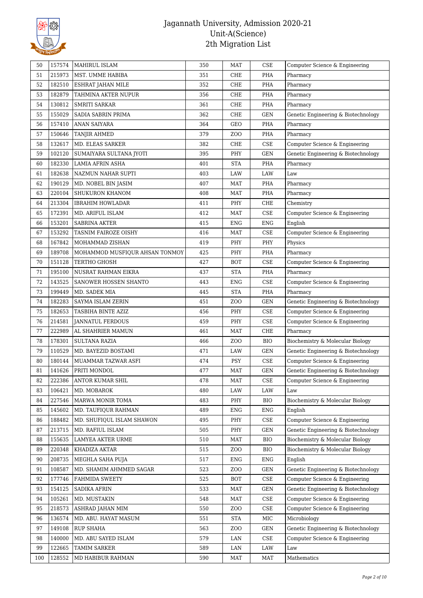

| 50  | 157574 | <b>MAHIRUL ISLAM</b>           | 350 | <b>MAT</b>      | <b>CSE</b>                  | Computer Science & Engineering      |
|-----|--------|--------------------------------|-----|-----------------|-----------------------------|-------------------------------------|
| 51  | 215973 | MST. UMME HABIBA               | 351 | CHE             | PHA                         | Pharmacy                            |
| 52  | 182510 | ESHRAT JAHAN MILE              | 352 | CHE             | PHA                         | Pharmacy                            |
| 53  | 182879 | TAHMINA AKTER NUPUR            | 356 | CHE             | PHA                         | Pharmacy                            |
| 54  | 130812 | <b>SMRITI SARKAR</b>           | 361 | CHE             | PHA                         | Pharmacy                            |
| 55  | 155029 | SADIA SABRIN PRIMA             | 362 | CHE             | <b>GEN</b>                  | Genetic Engineering & Biotechnology |
| 56  | 157410 | ANAN SAIYARA                   | 364 | GEO             | PHA                         | Pharmacy                            |
| 57  | 150646 | <b>TANJIR AHMED</b>            | 379 | ZO <sub>O</sub> | PHA                         | Pharmacy                            |
| 58  | 132617 | MD. ELEAS SARKER               | 382 | CHE             | CSE                         | Computer Science & Engineering      |
| 59  | 102120 | SUMAIYARA SULTANA JYOTI        | 395 | PHY             | <b>GEN</b>                  | Genetic Engineering & Biotechnology |
| 60  | 182330 | LAMIA AFRIN ASHA               | 401 | <b>STA</b>      | PHA                         | Pharmacy                            |
| 61  | 182638 | NAZMUN NAHAR SUPTI             | 403 | LAW             | LAW                         | Law                                 |
| 62  | 190129 | MD. NOBEL BIN JASIM            | 407 | MAT             | PHA                         | Pharmacy                            |
| 63  | 220104 | SHUKURON KHANOM                | 408 | <b>MAT</b>      | PHA                         | Pharmacy                            |
| 64  | 213304 | <b>IBRAHIM HOWLADAR</b>        | 411 | PHY             | CHE                         | Chemistry                           |
| 65  | 172391 | MD. ARIFUL ISLAM               | 412 | <b>MAT</b>      | CSE                         | Computer Science & Engineering      |
| 66  | 153201 | SABRINA AKTER                  | 415 | <b>ENG</b>      | <b>ENG</b>                  | English                             |
| 67  | 153292 | TASNIM FAIROZE OISHY           | 416 | MAT             | CSE                         | Computer Science & Engineering      |
| 68  | 167842 | MOHAMMAD ZISHAN                | 419 | PHY             | PHY                         | Physics                             |
| 69  | 189708 | MOHAMMOD MUSFIQUR AHSAN TONMOY | 425 | PHY             | PHA                         | Pharmacy                            |
| 70  | 151128 | TERTHO GHOSH                   | 427 | <b>BOT</b>      | CSE                         | Computer Science & Engineering      |
| 71  | 195100 | NUSRAT RAHMAN EIKRA            | 437 | <b>STA</b>      | PHA                         | Pharmacy                            |
| 72  | 143525 | SANOWER HOSSEN SHANTO          | 443 | <b>ENG</b>      | CSE                         | Computer Science & Engineering      |
| 73  | 199449 | MD. SADEK MIA                  | 445 | <b>STA</b>      | PHA                         | Pharmacy                            |
| 74  | 182283 | SAYMA ISLAM ZERIN              | 451 | ZO <sub>O</sub> | <b>GEN</b>                  | Genetic Engineering & Biotechnology |
| 75  | 182653 | TASBIHA BINTE AZIZ             | 456 | PHY             | CSE                         | Computer Science & Engineering      |
| 76  | 214581 | <b>JANNATUL FERDOUS</b>        | 459 | PHY             | CSE                         | Computer Science & Engineering      |
| 77  | 222989 | AL SHAHRIER MAMUN              | 461 | MAT             | CHE                         | Pharmacy                            |
| 78  | 178301 | <b>SULTANA RAZIA</b>           | 466 | ZOO             | <b>BIO</b>                  | Biochemistry & Molecular Biology    |
| 79  | 110529 | MD. BAYEZID BOSTAMI            | 471 | LAW             | GEN                         | Genetic Engineering & Biotechnology |
| 80  | 180144 | MUAMMAR TAZWAR ASFI            | 474 | PSY             | CSE                         | Computer Science & Engineering      |
| 81  | 141626 | PRITI MONDOL                   | 477 | MAT             | GEN                         | Genetic Engineering & Biotechnology |
| 82  | 222386 | <b>ANTOR KUMAR SHIL</b>        | 478 | MAT             | <b>CSE</b>                  | Computer Science & Engineering      |
| 83  | 106421 | MD. MOBAROK                    | 480 | LAW             | LAW                         | Law                                 |
| 84  | 227546 | MARWA MONIR TOMA               | 483 | PHY             | <b>BIO</b>                  | Biochemistry & Molecular Biology    |
| 85  | 145602 | MD. TAUFIQUR RAHMAN            | 489 | <b>ENG</b>      | ENG                         | English                             |
| 86  | 188482 | MD. SHUFIQUL ISLAM SHAWON      | 495 | PHY             | $\ensuremath{\mathsf{CSE}}$ | Computer Science & Engineering      |
| 87  | 213715 | MD. RAFIUL ISLAM               | 505 | PHY             | GEN                         | Genetic Engineering & Biotechnology |
| 88  | 155635 | LAMYEA AKTER URME              | 510 | MAT             | <b>BIO</b>                  | Biochemistry & Molecular Biology    |
| 89  | 220348 | KHADIZA AKTAR                  | 515 | ZOO             | <b>BIO</b>                  | Biochemistry & Molecular Biology    |
| 90  | 208735 | MEGHLA SAHA PUJA               | 517 | ENG             | ENG                         | English                             |
| 91  | 108587 | MD. SHAMIM AHMMED SAGAR        | 523 | ZO <sub>O</sub> | GEN                         | Genetic Engineering & Biotechnology |
| 92  | 177746 | FAHMIDA SWEETY                 | 525 | <b>BOT</b>      | CSE                         | Computer Science & Engineering      |
| 93  | 154125 | SADIKA AFRIN                   | 533 | MAT             | GEN                         | Genetic Engineering & Biotechnology |
| 94  | 105261 | MD. MUSTAKIN                   | 548 | MAT             | CSE                         | Computer Science & Engineering      |
| 95  | 218573 | ASHRAD JAHAN MIM               | 550 | ZOO             | CSE                         | Computer Science & Engineering      |
| 96  | 136574 | MD. ABU. HAYAT MASUM           | 551 | <b>STA</b>      | $_{\rm MIC}$                | Microbiology                        |
| 97  | 149108 | <b>RUP SHAHA</b>               | 563 | ZOO             | GEN                         | Genetic Engineering & Biotechnology |
| 98  | 140000 | MD. ABU SAYED ISLAM            | 579 | LAN             | CSE                         | Computer Science & Engineering      |
| 99  | 122665 | TAMIM SARKER                   | 589 | LAN             | LAW                         | Law                                 |
| 100 | 128552 | MD HABIBUR RAHMAN              | 590 | MAT             | <b>MAT</b>                  | Mathematics                         |
|     |        |                                |     |                 |                             |                                     |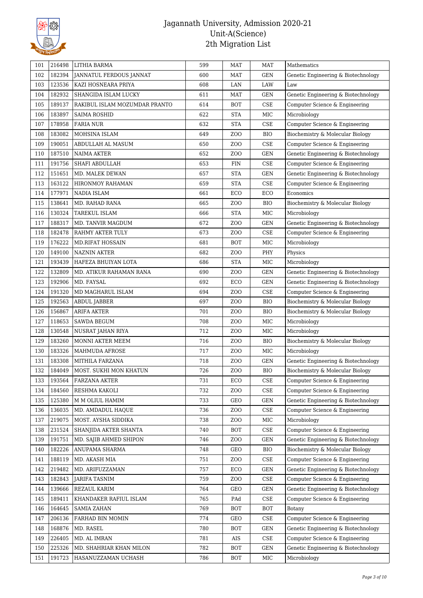

| 182394<br>102<br>JANNATUL FERDOUS JANNAT<br><b>GEN</b><br>600<br>MAT<br>Genetic Engineering & Biotechnology<br>103<br>123536<br>KAZI HOSNEARA PRIYA<br>608<br>LAN<br>LAW<br>Law<br>182932<br>GEN<br>104<br>SHANGIDA ISLAM LUCKY<br>611<br>MAT<br>Genetic Engineering & Biotechnology<br>189137<br>CSE<br>Computer Science & Engineering<br>105<br>RAKIBUL ISLAM MOZUMDAR PRANTO<br>614<br><b>BOT</b><br>183897<br>$\rm MIC$<br>622<br><b>STA</b><br>106<br><b>SAIMA ROSHID</b><br>Microbiology<br>107<br>178958<br>632<br><b>STA</b><br>CSE<br>Computer Science & Engineering<br><b>FARIA NUR</b><br>183082<br>108<br>MOHSINA ISLAM<br>649<br>ZO <sub>O</sub><br><b>BIO</b><br>Biochemistry & Molecular Biology<br>190051<br>CSE<br>109<br>650<br>Computer Science & Engineering<br>ABDULLAH AL MASUM<br>ZOO<br>187510<br>652<br>ZOO<br><b>GEN</b><br>Genetic Engineering & Biotechnology<br>110<br>NAIMA AKTER<br>191756<br>$\ensuremath{\mathsf{CSE}}$<br>111<br>SHAFI ABDULLAH<br>653<br><b>FIN</b><br>Computer Science & Engineering<br>112<br>151651<br><b>STA</b><br>GEN<br>Genetic Engineering & Biotechnology<br>MD. MALEK DEWAN<br>657<br>163122<br>113<br><b>STA</b><br>CSE<br>Computer Science & Engineering<br>HIRONMOY RAHAMAN<br>659<br>177971<br>114<br>NADIA ISLAM<br>ECO<br>ECO<br>661<br>Economics<br>115<br>138641<br>MD. RAHAD RANA<br>665<br>ZO <sub>O</sub><br><b>BIO</b><br>Biochemistry & Molecular Biology<br>130324<br><b>STA</b><br>MIC<br>116<br>TAREKUL ISLAM<br>666<br>Microbiology<br>117<br>188317<br>GEN<br>MD. TANVIR MAGDUM<br>672<br>ZO <sub>O</sub><br>Genetic Engineering & Biotechnology<br>182478<br>CSE<br>118<br>673<br>ZOO<br>Computer Science & Engineering<br>RAHMY AKTER TULY<br>176222<br>119<br>681<br><b>BOT</b><br>MIC<br><b>MD.RIFAT HOSSAIN</b><br>Microbiology<br>149100<br>120<br><b>NAZNIN AKTER</b><br>682<br>ZO <sub>O</sub><br>PHY<br>Physics<br>121<br>193439<br>HAFEZA BHUIYAN LOTA<br><b>STA</b><br>MIC<br>Microbiology<br>686<br>122<br>132809<br>690<br>ZOO<br><b>GEN</b><br>MD. ATIKUR RAHAMAN RANA<br>Genetic Engineering & Biotechnology<br>192906<br>GEN<br>123<br>MD. FAYSAL<br>692<br>ECO<br>Genetic Engineering & Biotechnology<br>191320<br>CSE<br>Computer Science & Engineering<br>124<br>MD MAGHARUL ISLAM<br>694<br>ZO <sub>O</sub><br>192563<br>125<br>697<br>ZO <sub>O</sub><br><b>BIO</b><br>Biochemistry & Molecular Biology<br>ABDUL JABBER<br>156867<br>701<br>ZOO<br><b>BIO</b><br>126<br>ARIFA AKTER<br>Biochemistry & Molecular Biology<br>118653<br>127<br><b>SAWDA BEGUM</b><br>708<br>ZO <sub>O</sub><br>MIC<br>Microbiology<br>130548<br>$_{\rm MIC}$<br>128<br>712<br>ZO <sub>O</sub><br>NUSRAT JAHAN RIYA<br>Microbiology<br>129<br>183260<br>716<br>ZOO<br><b>BIO</b><br>Biochemistry & Molecular Biology<br>MONNI AKTER MEEM<br>183326<br>130<br>MAHMUDA AFROSE<br>717<br>ZOO<br>MIC<br>Microbiology<br>183308<br>GEN<br>131<br>MITHILA FARZANA<br>718<br>ZO <sub>O</sub><br>Genetic Engineering & Biotechnology<br>132<br>184049<br>726<br>ZO <sub>O</sub><br><b>BIO</b><br>Biochemistry & Molecular Biology<br>MOST. SUKHI MON KHATUN<br>$\ensuremath{\mathsf{CSE}}$<br>731<br>ECO<br>193564<br>FARZANA AKTER<br>Computer Science & Engineering<br>133<br>$\ensuremath{\mathsf{CSE}}$<br>184560<br>RESHMA KAKOLI<br>732<br>ZOO<br>Computer Science & Engineering<br>134<br>733<br>GEN<br>125380<br>M M OLIUL HAMIM<br>GEO<br>Genetic Engineering & Biotechnology<br>135<br>136035<br>$\ensuremath{\mathsf{CSE}}$<br>736<br>ZOO<br>Computer Science & Engineering<br>136<br>MD. AMDADUL HAQUE<br>219075<br>738<br>MIC<br>137<br>MOST. AYSHA SIDDIKA<br>ZOO<br>Microbiology<br>231524<br>740<br>CSE<br>Computer Science & Engineering<br>138<br>SHANJIDA AKTER SHANTA<br>BOT<br>191751<br><b>GEN</b><br>Genetic Engineering & Biotechnology<br>139<br>MD. SAJIB AHMED SHIPON<br>746<br>ZOO<br>182226<br><b>BIO</b><br>140<br>ANUPAMA SHARMA<br>748<br>Biochemistry & Molecular Biology<br>GEO<br>188119<br>$\ensuremath{\mathsf{CSE}}$<br>MD. AKASH MIA<br>751<br>ZOO<br>Computer Science & Engineering<br>141<br>219482<br>MD. ARIFUZZAMAN<br>757<br>ECO<br><b>GEN</b><br>Genetic Engineering & Biotechnology<br>142<br>182843<br>$\ensuremath{\mathsf{CSE}}$<br>143<br><b>JARIFA TASNIM</b><br>759<br>ZO <sub>O</sub><br>Computer Science & Engineering<br>139666<br>764<br><b>GEN</b><br>Genetic Engineering & Biotechnology<br>144<br>REZAUL KARIM<br>GEO<br>765<br>CSE<br>145<br>189411<br>KHANDAKER RAFIUL ISLAM<br>PAd<br>Computer Science & Engineering<br>164645<br><b>SAMIA ZAHAN</b><br>769<br><b>BOT</b><br>146<br>BOT<br>Botany<br>206136<br>$\ensuremath{\mathsf{CSE}}$<br>147<br>FARHAD BIN MOMIN<br>774<br>GEO<br>Computer Science & Engineering<br>168876<br>MD. RASEL<br>780<br><b>GEN</b><br>Genetic Engineering & Biotechnology<br>148<br>BOT<br>$\ensuremath{\mathsf{CSE}}$<br>226405<br>MD. AL IMRAN<br>781<br>Computer Science & Engineering<br>149<br>AIS<br>225326<br>MD. SHAHRIAR KHAN MILON<br>782<br><b>BOT</b><br><b>GEN</b><br>Genetic Engineering & Biotechnology<br>150<br>191723<br>786<br>MIC<br>HASANUZZAMAN UCHASH<br>BOT<br>Microbiology<br>151 | 101 | 216498 | LITHIA BARMA | 599 | <b>MAT</b> | <b>MAT</b> | Mathematics |
|----------------------------------------------------------------------------------------------------------------------------------------------------------------------------------------------------------------------------------------------------------------------------------------------------------------------------------------------------------------------------------------------------------------------------------------------------------------------------------------------------------------------------------------------------------------------------------------------------------------------------------------------------------------------------------------------------------------------------------------------------------------------------------------------------------------------------------------------------------------------------------------------------------------------------------------------------------------------------------------------------------------------------------------------------------------------------------------------------------------------------------------------------------------------------------------------------------------------------------------------------------------------------------------------------------------------------------------------------------------------------------------------------------------------------------------------------------------------------------------------------------------------------------------------------------------------------------------------------------------------------------------------------------------------------------------------------------------------------------------------------------------------------------------------------------------------------------------------------------------------------------------------------------------------------------------------------------------------------------------------------------------------------------------------------------------------------------------------------------------------------------------------------------------------------------------------------------------------------------------------------------------------------------------------------------------------------------------------------------------------------------------------------------------------------------------------------------------------------------------------------------------------------------------------------------------------------------------------------------------------------------------------------------------------------------------------------------------------------------------------------------------------------------------------------------------------------------------------------------------------------------------------------------------------------------------------------------------------------------------------------------------------------------------------------------------------------------------------------------------------------------------------------------------------------------------------------------------------------------------------------------------------------------------------------------------------------------------------------------------------------------------------------------------------------------------------------------------------------------------------------------------------------------------------------------------------------------------------------------------------------------------------------------------------------------------------------------------------------------------------------------------------------------------------------------------------------------------------------------------------------------------------------------------------------------------------------------------------------------------------------------------------------------------------------------------------------------------------------------------------------------------------------------------------------------------------------------------------------------------------------------------------------------------------------------------------------------------------------------------------------------------------------------------------------------------------------------------------------------------------------------------------------------------------------------------------------------------------------------------------------------------------------------------------------------------------------------------------------------------------------------------------------------------------------------------------------------------------------------------------------------------------------------------------------------------------------------------------------------------------------------------------------------------------------------------------------------------------------------------------------------------------------------------------------------|-----|--------|--------------|-----|------------|------------|-------------|
|                                                                                                                                                                                                                                                                                                                                                                                                                                                                                                                                                                                                                                                                                                                                                                                                                                                                                                                                                                                                                                                                                                                                                                                                                                                                                                                                                                                                                                                                                                                                                                                                                                                                                                                                                                                                                                                                                                                                                                                                                                                                                                                                                                                                                                                                                                                                                                                                                                                                                                                                                                                                                                                                                                                                                                                                                                                                                                                                                                                                                                                                                                                                                                                                                                                                                                                                                                                                                                                                                                                                                                                                                                                                                                                                                                                                                                                                                                                                                                                                                                                                                                                                                                                                                                                                                                                                                                                                                                                                                                                                                                                                                                                                                                                                                                                                                                                                                                                                                                                                                                                                                                                                                                                  |     |        |              |     |            |            |             |
|                                                                                                                                                                                                                                                                                                                                                                                                                                                                                                                                                                                                                                                                                                                                                                                                                                                                                                                                                                                                                                                                                                                                                                                                                                                                                                                                                                                                                                                                                                                                                                                                                                                                                                                                                                                                                                                                                                                                                                                                                                                                                                                                                                                                                                                                                                                                                                                                                                                                                                                                                                                                                                                                                                                                                                                                                                                                                                                                                                                                                                                                                                                                                                                                                                                                                                                                                                                                                                                                                                                                                                                                                                                                                                                                                                                                                                                                                                                                                                                                                                                                                                                                                                                                                                                                                                                                                                                                                                                                                                                                                                                                                                                                                                                                                                                                                                                                                                                                                                                                                                                                                                                                                                                  |     |        |              |     |            |            |             |
|                                                                                                                                                                                                                                                                                                                                                                                                                                                                                                                                                                                                                                                                                                                                                                                                                                                                                                                                                                                                                                                                                                                                                                                                                                                                                                                                                                                                                                                                                                                                                                                                                                                                                                                                                                                                                                                                                                                                                                                                                                                                                                                                                                                                                                                                                                                                                                                                                                                                                                                                                                                                                                                                                                                                                                                                                                                                                                                                                                                                                                                                                                                                                                                                                                                                                                                                                                                                                                                                                                                                                                                                                                                                                                                                                                                                                                                                                                                                                                                                                                                                                                                                                                                                                                                                                                                                                                                                                                                                                                                                                                                                                                                                                                                                                                                                                                                                                                                                                                                                                                                                                                                                                                                  |     |        |              |     |            |            |             |
|                                                                                                                                                                                                                                                                                                                                                                                                                                                                                                                                                                                                                                                                                                                                                                                                                                                                                                                                                                                                                                                                                                                                                                                                                                                                                                                                                                                                                                                                                                                                                                                                                                                                                                                                                                                                                                                                                                                                                                                                                                                                                                                                                                                                                                                                                                                                                                                                                                                                                                                                                                                                                                                                                                                                                                                                                                                                                                                                                                                                                                                                                                                                                                                                                                                                                                                                                                                                                                                                                                                                                                                                                                                                                                                                                                                                                                                                                                                                                                                                                                                                                                                                                                                                                                                                                                                                                                                                                                                                                                                                                                                                                                                                                                                                                                                                                                                                                                                                                                                                                                                                                                                                                                                  |     |        |              |     |            |            |             |
|                                                                                                                                                                                                                                                                                                                                                                                                                                                                                                                                                                                                                                                                                                                                                                                                                                                                                                                                                                                                                                                                                                                                                                                                                                                                                                                                                                                                                                                                                                                                                                                                                                                                                                                                                                                                                                                                                                                                                                                                                                                                                                                                                                                                                                                                                                                                                                                                                                                                                                                                                                                                                                                                                                                                                                                                                                                                                                                                                                                                                                                                                                                                                                                                                                                                                                                                                                                                                                                                                                                                                                                                                                                                                                                                                                                                                                                                                                                                                                                                                                                                                                                                                                                                                                                                                                                                                                                                                                                                                                                                                                                                                                                                                                                                                                                                                                                                                                                                                                                                                                                                                                                                                                                  |     |        |              |     |            |            |             |
|                                                                                                                                                                                                                                                                                                                                                                                                                                                                                                                                                                                                                                                                                                                                                                                                                                                                                                                                                                                                                                                                                                                                                                                                                                                                                                                                                                                                                                                                                                                                                                                                                                                                                                                                                                                                                                                                                                                                                                                                                                                                                                                                                                                                                                                                                                                                                                                                                                                                                                                                                                                                                                                                                                                                                                                                                                                                                                                                                                                                                                                                                                                                                                                                                                                                                                                                                                                                                                                                                                                                                                                                                                                                                                                                                                                                                                                                                                                                                                                                                                                                                                                                                                                                                                                                                                                                                                                                                                                                                                                                                                                                                                                                                                                                                                                                                                                                                                                                                                                                                                                                                                                                                                                  |     |        |              |     |            |            |             |
|                                                                                                                                                                                                                                                                                                                                                                                                                                                                                                                                                                                                                                                                                                                                                                                                                                                                                                                                                                                                                                                                                                                                                                                                                                                                                                                                                                                                                                                                                                                                                                                                                                                                                                                                                                                                                                                                                                                                                                                                                                                                                                                                                                                                                                                                                                                                                                                                                                                                                                                                                                                                                                                                                                                                                                                                                                                                                                                                                                                                                                                                                                                                                                                                                                                                                                                                                                                                                                                                                                                                                                                                                                                                                                                                                                                                                                                                                                                                                                                                                                                                                                                                                                                                                                                                                                                                                                                                                                                                                                                                                                                                                                                                                                                                                                                                                                                                                                                                                                                                                                                                                                                                                                                  |     |        |              |     |            |            |             |
|                                                                                                                                                                                                                                                                                                                                                                                                                                                                                                                                                                                                                                                                                                                                                                                                                                                                                                                                                                                                                                                                                                                                                                                                                                                                                                                                                                                                                                                                                                                                                                                                                                                                                                                                                                                                                                                                                                                                                                                                                                                                                                                                                                                                                                                                                                                                                                                                                                                                                                                                                                                                                                                                                                                                                                                                                                                                                                                                                                                                                                                                                                                                                                                                                                                                                                                                                                                                                                                                                                                                                                                                                                                                                                                                                                                                                                                                                                                                                                                                                                                                                                                                                                                                                                                                                                                                                                                                                                                                                                                                                                                                                                                                                                                                                                                                                                                                                                                                                                                                                                                                                                                                                                                  |     |        |              |     |            |            |             |
|                                                                                                                                                                                                                                                                                                                                                                                                                                                                                                                                                                                                                                                                                                                                                                                                                                                                                                                                                                                                                                                                                                                                                                                                                                                                                                                                                                                                                                                                                                                                                                                                                                                                                                                                                                                                                                                                                                                                                                                                                                                                                                                                                                                                                                                                                                                                                                                                                                                                                                                                                                                                                                                                                                                                                                                                                                                                                                                                                                                                                                                                                                                                                                                                                                                                                                                                                                                                                                                                                                                                                                                                                                                                                                                                                                                                                                                                                                                                                                                                                                                                                                                                                                                                                                                                                                                                                                                                                                                                                                                                                                                                                                                                                                                                                                                                                                                                                                                                                                                                                                                                                                                                                                                  |     |        |              |     |            |            |             |
|                                                                                                                                                                                                                                                                                                                                                                                                                                                                                                                                                                                                                                                                                                                                                                                                                                                                                                                                                                                                                                                                                                                                                                                                                                                                                                                                                                                                                                                                                                                                                                                                                                                                                                                                                                                                                                                                                                                                                                                                                                                                                                                                                                                                                                                                                                                                                                                                                                                                                                                                                                                                                                                                                                                                                                                                                                                                                                                                                                                                                                                                                                                                                                                                                                                                                                                                                                                                                                                                                                                                                                                                                                                                                                                                                                                                                                                                                                                                                                                                                                                                                                                                                                                                                                                                                                                                                                                                                                                                                                                                                                                                                                                                                                                                                                                                                                                                                                                                                                                                                                                                                                                                                                                  |     |        |              |     |            |            |             |
|                                                                                                                                                                                                                                                                                                                                                                                                                                                                                                                                                                                                                                                                                                                                                                                                                                                                                                                                                                                                                                                                                                                                                                                                                                                                                                                                                                                                                                                                                                                                                                                                                                                                                                                                                                                                                                                                                                                                                                                                                                                                                                                                                                                                                                                                                                                                                                                                                                                                                                                                                                                                                                                                                                                                                                                                                                                                                                                                                                                                                                                                                                                                                                                                                                                                                                                                                                                                                                                                                                                                                                                                                                                                                                                                                                                                                                                                                                                                                                                                                                                                                                                                                                                                                                                                                                                                                                                                                                                                                                                                                                                                                                                                                                                                                                                                                                                                                                                                                                                                                                                                                                                                                                                  |     |        |              |     |            |            |             |
|                                                                                                                                                                                                                                                                                                                                                                                                                                                                                                                                                                                                                                                                                                                                                                                                                                                                                                                                                                                                                                                                                                                                                                                                                                                                                                                                                                                                                                                                                                                                                                                                                                                                                                                                                                                                                                                                                                                                                                                                                                                                                                                                                                                                                                                                                                                                                                                                                                                                                                                                                                                                                                                                                                                                                                                                                                                                                                                                                                                                                                                                                                                                                                                                                                                                                                                                                                                                                                                                                                                                                                                                                                                                                                                                                                                                                                                                                                                                                                                                                                                                                                                                                                                                                                                                                                                                                                                                                                                                                                                                                                                                                                                                                                                                                                                                                                                                                                                                                                                                                                                                                                                                                                                  |     |        |              |     |            |            |             |
|                                                                                                                                                                                                                                                                                                                                                                                                                                                                                                                                                                                                                                                                                                                                                                                                                                                                                                                                                                                                                                                                                                                                                                                                                                                                                                                                                                                                                                                                                                                                                                                                                                                                                                                                                                                                                                                                                                                                                                                                                                                                                                                                                                                                                                                                                                                                                                                                                                                                                                                                                                                                                                                                                                                                                                                                                                                                                                                                                                                                                                                                                                                                                                                                                                                                                                                                                                                                                                                                                                                                                                                                                                                                                                                                                                                                                                                                                                                                                                                                                                                                                                                                                                                                                                                                                                                                                                                                                                                                                                                                                                                                                                                                                                                                                                                                                                                                                                                                                                                                                                                                                                                                                                                  |     |        |              |     |            |            |             |
|                                                                                                                                                                                                                                                                                                                                                                                                                                                                                                                                                                                                                                                                                                                                                                                                                                                                                                                                                                                                                                                                                                                                                                                                                                                                                                                                                                                                                                                                                                                                                                                                                                                                                                                                                                                                                                                                                                                                                                                                                                                                                                                                                                                                                                                                                                                                                                                                                                                                                                                                                                                                                                                                                                                                                                                                                                                                                                                                                                                                                                                                                                                                                                                                                                                                                                                                                                                                                                                                                                                                                                                                                                                                                                                                                                                                                                                                                                                                                                                                                                                                                                                                                                                                                                                                                                                                                                                                                                                                                                                                                                                                                                                                                                                                                                                                                                                                                                                                                                                                                                                                                                                                                                                  |     |        |              |     |            |            |             |
|                                                                                                                                                                                                                                                                                                                                                                                                                                                                                                                                                                                                                                                                                                                                                                                                                                                                                                                                                                                                                                                                                                                                                                                                                                                                                                                                                                                                                                                                                                                                                                                                                                                                                                                                                                                                                                                                                                                                                                                                                                                                                                                                                                                                                                                                                                                                                                                                                                                                                                                                                                                                                                                                                                                                                                                                                                                                                                                                                                                                                                                                                                                                                                                                                                                                                                                                                                                                                                                                                                                                                                                                                                                                                                                                                                                                                                                                                                                                                                                                                                                                                                                                                                                                                                                                                                                                                                                                                                                                                                                                                                                                                                                                                                                                                                                                                                                                                                                                                                                                                                                                                                                                                                                  |     |        |              |     |            |            |             |
|                                                                                                                                                                                                                                                                                                                                                                                                                                                                                                                                                                                                                                                                                                                                                                                                                                                                                                                                                                                                                                                                                                                                                                                                                                                                                                                                                                                                                                                                                                                                                                                                                                                                                                                                                                                                                                                                                                                                                                                                                                                                                                                                                                                                                                                                                                                                                                                                                                                                                                                                                                                                                                                                                                                                                                                                                                                                                                                                                                                                                                                                                                                                                                                                                                                                                                                                                                                                                                                                                                                                                                                                                                                                                                                                                                                                                                                                                                                                                                                                                                                                                                                                                                                                                                                                                                                                                                                                                                                                                                                                                                                                                                                                                                                                                                                                                                                                                                                                                                                                                                                                                                                                                                                  |     |        |              |     |            |            |             |
|                                                                                                                                                                                                                                                                                                                                                                                                                                                                                                                                                                                                                                                                                                                                                                                                                                                                                                                                                                                                                                                                                                                                                                                                                                                                                                                                                                                                                                                                                                                                                                                                                                                                                                                                                                                                                                                                                                                                                                                                                                                                                                                                                                                                                                                                                                                                                                                                                                                                                                                                                                                                                                                                                                                                                                                                                                                                                                                                                                                                                                                                                                                                                                                                                                                                                                                                                                                                                                                                                                                                                                                                                                                                                                                                                                                                                                                                                                                                                                                                                                                                                                                                                                                                                                                                                                                                                                                                                                                                                                                                                                                                                                                                                                                                                                                                                                                                                                                                                                                                                                                                                                                                                                                  |     |        |              |     |            |            |             |
|                                                                                                                                                                                                                                                                                                                                                                                                                                                                                                                                                                                                                                                                                                                                                                                                                                                                                                                                                                                                                                                                                                                                                                                                                                                                                                                                                                                                                                                                                                                                                                                                                                                                                                                                                                                                                                                                                                                                                                                                                                                                                                                                                                                                                                                                                                                                                                                                                                                                                                                                                                                                                                                                                                                                                                                                                                                                                                                                                                                                                                                                                                                                                                                                                                                                                                                                                                                                                                                                                                                                                                                                                                                                                                                                                                                                                                                                                                                                                                                                                                                                                                                                                                                                                                                                                                                                                                                                                                                                                                                                                                                                                                                                                                                                                                                                                                                                                                                                                                                                                                                                                                                                                                                  |     |        |              |     |            |            |             |
|                                                                                                                                                                                                                                                                                                                                                                                                                                                                                                                                                                                                                                                                                                                                                                                                                                                                                                                                                                                                                                                                                                                                                                                                                                                                                                                                                                                                                                                                                                                                                                                                                                                                                                                                                                                                                                                                                                                                                                                                                                                                                                                                                                                                                                                                                                                                                                                                                                                                                                                                                                                                                                                                                                                                                                                                                                                                                                                                                                                                                                                                                                                                                                                                                                                                                                                                                                                                                                                                                                                                                                                                                                                                                                                                                                                                                                                                                                                                                                                                                                                                                                                                                                                                                                                                                                                                                                                                                                                                                                                                                                                                                                                                                                                                                                                                                                                                                                                                                                                                                                                                                                                                                                                  |     |        |              |     |            |            |             |
|                                                                                                                                                                                                                                                                                                                                                                                                                                                                                                                                                                                                                                                                                                                                                                                                                                                                                                                                                                                                                                                                                                                                                                                                                                                                                                                                                                                                                                                                                                                                                                                                                                                                                                                                                                                                                                                                                                                                                                                                                                                                                                                                                                                                                                                                                                                                                                                                                                                                                                                                                                                                                                                                                                                                                                                                                                                                                                                                                                                                                                                                                                                                                                                                                                                                                                                                                                                                                                                                                                                                                                                                                                                                                                                                                                                                                                                                                                                                                                                                                                                                                                                                                                                                                                                                                                                                                                                                                                                                                                                                                                                                                                                                                                                                                                                                                                                                                                                                                                                                                                                                                                                                                                                  |     |        |              |     |            |            |             |
|                                                                                                                                                                                                                                                                                                                                                                                                                                                                                                                                                                                                                                                                                                                                                                                                                                                                                                                                                                                                                                                                                                                                                                                                                                                                                                                                                                                                                                                                                                                                                                                                                                                                                                                                                                                                                                                                                                                                                                                                                                                                                                                                                                                                                                                                                                                                                                                                                                                                                                                                                                                                                                                                                                                                                                                                                                                                                                                                                                                                                                                                                                                                                                                                                                                                                                                                                                                                                                                                                                                                                                                                                                                                                                                                                                                                                                                                                                                                                                                                                                                                                                                                                                                                                                                                                                                                                                                                                                                                                                                                                                                                                                                                                                                                                                                                                                                                                                                                                                                                                                                                                                                                                                                  |     |        |              |     |            |            |             |
|                                                                                                                                                                                                                                                                                                                                                                                                                                                                                                                                                                                                                                                                                                                                                                                                                                                                                                                                                                                                                                                                                                                                                                                                                                                                                                                                                                                                                                                                                                                                                                                                                                                                                                                                                                                                                                                                                                                                                                                                                                                                                                                                                                                                                                                                                                                                                                                                                                                                                                                                                                                                                                                                                                                                                                                                                                                                                                                                                                                                                                                                                                                                                                                                                                                                                                                                                                                                                                                                                                                                                                                                                                                                                                                                                                                                                                                                                                                                                                                                                                                                                                                                                                                                                                                                                                                                                                                                                                                                                                                                                                                                                                                                                                                                                                                                                                                                                                                                                                                                                                                                                                                                                                                  |     |        |              |     |            |            |             |
|                                                                                                                                                                                                                                                                                                                                                                                                                                                                                                                                                                                                                                                                                                                                                                                                                                                                                                                                                                                                                                                                                                                                                                                                                                                                                                                                                                                                                                                                                                                                                                                                                                                                                                                                                                                                                                                                                                                                                                                                                                                                                                                                                                                                                                                                                                                                                                                                                                                                                                                                                                                                                                                                                                                                                                                                                                                                                                                                                                                                                                                                                                                                                                                                                                                                                                                                                                                                                                                                                                                                                                                                                                                                                                                                                                                                                                                                                                                                                                                                                                                                                                                                                                                                                                                                                                                                                                                                                                                                                                                                                                                                                                                                                                                                                                                                                                                                                                                                                                                                                                                                                                                                                                                  |     |        |              |     |            |            |             |
|                                                                                                                                                                                                                                                                                                                                                                                                                                                                                                                                                                                                                                                                                                                                                                                                                                                                                                                                                                                                                                                                                                                                                                                                                                                                                                                                                                                                                                                                                                                                                                                                                                                                                                                                                                                                                                                                                                                                                                                                                                                                                                                                                                                                                                                                                                                                                                                                                                                                                                                                                                                                                                                                                                                                                                                                                                                                                                                                                                                                                                                                                                                                                                                                                                                                                                                                                                                                                                                                                                                                                                                                                                                                                                                                                                                                                                                                                                                                                                                                                                                                                                                                                                                                                                                                                                                                                                                                                                                                                                                                                                                                                                                                                                                                                                                                                                                                                                                                                                                                                                                                                                                                                                                  |     |        |              |     |            |            |             |
|                                                                                                                                                                                                                                                                                                                                                                                                                                                                                                                                                                                                                                                                                                                                                                                                                                                                                                                                                                                                                                                                                                                                                                                                                                                                                                                                                                                                                                                                                                                                                                                                                                                                                                                                                                                                                                                                                                                                                                                                                                                                                                                                                                                                                                                                                                                                                                                                                                                                                                                                                                                                                                                                                                                                                                                                                                                                                                                                                                                                                                                                                                                                                                                                                                                                                                                                                                                                                                                                                                                                                                                                                                                                                                                                                                                                                                                                                                                                                                                                                                                                                                                                                                                                                                                                                                                                                                                                                                                                                                                                                                                                                                                                                                                                                                                                                                                                                                                                                                                                                                                                                                                                                                                  |     |        |              |     |            |            |             |
|                                                                                                                                                                                                                                                                                                                                                                                                                                                                                                                                                                                                                                                                                                                                                                                                                                                                                                                                                                                                                                                                                                                                                                                                                                                                                                                                                                                                                                                                                                                                                                                                                                                                                                                                                                                                                                                                                                                                                                                                                                                                                                                                                                                                                                                                                                                                                                                                                                                                                                                                                                                                                                                                                                                                                                                                                                                                                                                                                                                                                                                                                                                                                                                                                                                                                                                                                                                                                                                                                                                                                                                                                                                                                                                                                                                                                                                                                                                                                                                                                                                                                                                                                                                                                                                                                                                                                                                                                                                                                                                                                                                                                                                                                                                                                                                                                                                                                                                                                                                                                                                                                                                                                                                  |     |        |              |     |            |            |             |
|                                                                                                                                                                                                                                                                                                                                                                                                                                                                                                                                                                                                                                                                                                                                                                                                                                                                                                                                                                                                                                                                                                                                                                                                                                                                                                                                                                                                                                                                                                                                                                                                                                                                                                                                                                                                                                                                                                                                                                                                                                                                                                                                                                                                                                                                                                                                                                                                                                                                                                                                                                                                                                                                                                                                                                                                                                                                                                                                                                                                                                                                                                                                                                                                                                                                                                                                                                                                                                                                                                                                                                                                                                                                                                                                                                                                                                                                                                                                                                                                                                                                                                                                                                                                                                                                                                                                                                                                                                                                                                                                                                                                                                                                                                                                                                                                                                                                                                                                                                                                                                                                                                                                                                                  |     |        |              |     |            |            |             |
|                                                                                                                                                                                                                                                                                                                                                                                                                                                                                                                                                                                                                                                                                                                                                                                                                                                                                                                                                                                                                                                                                                                                                                                                                                                                                                                                                                                                                                                                                                                                                                                                                                                                                                                                                                                                                                                                                                                                                                                                                                                                                                                                                                                                                                                                                                                                                                                                                                                                                                                                                                                                                                                                                                                                                                                                                                                                                                                                                                                                                                                                                                                                                                                                                                                                                                                                                                                                                                                                                                                                                                                                                                                                                                                                                                                                                                                                                                                                                                                                                                                                                                                                                                                                                                                                                                                                                                                                                                                                                                                                                                                                                                                                                                                                                                                                                                                                                                                                                                                                                                                                                                                                                                                  |     |        |              |     |            |            |             |
|                                                                                                                                                                                                                                                                                                                                                                                                                                                                                                                                                                                                                                                                                                                                                                                                                                                                                                                                                                                                                                                                                                                                                                                                                                                                                                                                                                                                                                                                                                                                                                                                                                                                                                                                                                                                                                                                                                                                                                                                                                                                                                                                                                                                                                                                                                                                                                                                                                                                                                                                                                                                                                                                                                                                                                                                                                                                                                                                                                                                                                                                                                                                                                                                                                                                                                                                                                                                                                                                                                                                                                                                                                                                                                                                                                                                                                                                                                                                                                                                                                                                                                                                                                                                                                                                                                                                                                                                                                                                                                                                                                                                                                                                                                                                                                                                                                                                                                                                                                                                                                                                                                                                                                                  |     |        |              |     |            |            |             |
|                                                                                                                                                                                                                                                                                                                                                                                                                                                                                                                                                                                                                                                                                                                                                                                                                                                                                                                                                                                                                                                                                                                                                                                                                                                                                                                                                                                                                                                                                                                                                                                                                                                                                                                                                                                                                                                                                                                                                                                                                                                                                                                                                                                                                                                                                                                                                                                                                                                                                                                                                                                                                                                                                                                                                                                                                                                                                                                                                                                                                                                                                                                                                                                                                                                                                                                                                                                                                                                                                                                                                                                                                                                                                                                                                                                                                                                                                                                                                                                                                                                                                                                                                                                                                                                                                                                                                                                                                                                                                                                                                                                                                                                                                                                                                                                                                                                                                                                                                                                                                                                                                                                                                                                  |     |        |              |     |            |            |             |
|                                                                                                                                                                                                                                                                                                                                                                                                                                                                                                                                                                                                                                                                                                                                                                                                                                                                                                                                                                                                                                                                                                                                                                                                                                                                                                                                                                                                                                                                                                                                                                                                                                                                                                                                                                                                                                                                                                                                                                                                                                                                                                                                                                                                                                                                                                                                                                                                                                                                                                                                                                                                                                                                                                                                                                                                                                                                                                                                                                                                                                                                                                                                                                                                                                                                                                                                                                                                                                                                                                                                                                                                                                                                                                                                                                                                                                                                                                                                                                                                                                                                                                                                                                                                                                                                                                                                                                                                                                                                                                                                                                                                                                                                                                                                                                                                                                                                                                                                                                                                                                                                                                                                                                                  |     |        |              |     |            |            |             |
|                                                                                                                                                                                                                                                                                                                                                                                                                                                                                                                                                                                                                                                                                                                                                                                                                                                                                                                                                                                                                                                                                                                                                                                                                                                                                                                                                                                                                                                                                                                                                                                                                                                                                                                                                                                                                                                                                                                                                                                                                                                                                                                                                                                                                                                                                                                                                                                                                                                                                                                                                                                                                                                                                                                                                                                                                                                                                                                                                                                                                                                                                                                                                                                                                                                                                                                                                                                                                                                                                                                                                                                                                                                                                                                                                                                                                                                                                                                                                                                                                                                                                                                                                                                                                                                                                                                                                                                                                                                                                                                                                                                                                                                                                                                                                                                                                                                                                                                                                                                                                                                                                                                                                                                  |     |        |              |     |            |            |             |
|                                                                                                                                                                                                                                                                                                                                                                                                                                                                                                                                                                                                                                                                                                                                                                                                                                                                                                                                                                                                                                                                                                                                                                                                                                                                                                                                                                                                                                                                                                                                                                                                                                                                                                                                                                                                                                                                                                                                                                                                                                                                                                                                                                                                                                                                                                                                                                                                                                                                                                                                                                                                                                                                                                                                                                                                                                                                                                                                                                                                                                                                                                                                                                                                                                                                                                                                                                                                                                                                                                                                                                                                                                                                                                                                                                                                                                                                                                                                                                                                                                                                                                                                                                                                                                                                                                                                                                                                                                                                                                                                                                                                                                                                                                                                                                                                                                                                                                                                                                                                                                                                                                                                                                                  |     |        |              |     |            |            |             |
|                                                                                                                                                                                                                                                                                                                                                                                                                                                                                                                                                                                                                                                                                                                                                                                                                                                                                                                                                                                                                                                                                                                                                                                                                                                                                                                                                                                                                                                                                                                                                                                                                                                                                                                                                                                                                                                                                                                                                                                                                                                                                                                                                                                                                                                                                                                                                                                                                                                                                                                                                                                                                                                                                                                                                                                                                                                                                                                                                                                                                                                                                                                                                                                                                                                                                                                                                                                                                                                                                                                                                                                                                                                                                                                                                                                                                                                                                                                                                                                                                                                                                                                                                                                                                                                                                                                                                                                                                                                                                                                                                                                                                                                                                                                                                                                                                                                                                                                                                                                                                                                                                                                                                                                  |     |        |              |     |            |            |             |
|                                                                                                                                                                                                                                                                                                                                                                                                                                                                                                                                                                                                                                                                                                                                                                                                                                                                                                                                                                                                                                                                                                                                                                                                                                                                                                                                                                                                                                                                                                                                                                                                                                                                                                                                                                                                                                                                                                                                                                                                                                                                                                                                                                                                                                                                                                                                                                                                                                                                                                                                                                                                                                                                                                                                                                                                                                                                                                                                                                                                                                                                                                                                                                                                                                                                                                                                                                                                                                                                                                                                                                                                                                                                                                                                                                                                                                                                                                                                                                                                                                                                                                                                                                                                                                                                                                                                                                                                                                                                                                                                                                                                                                                                                                                                                                                                                                                                                                                                                                                                                                                                                                                                                                                  |     |        |              |     |            |            |             |
|                                                                                                                                                                                                                                                                                                                                                                                                                                                                                                                                                                                                                                                                                                                                                                                                                                                                                                                                                                                                                                                                                                                                                                                                                                                                                                                                                                                                                                                                                                                                                                                                                                                                                                                                                                                                                                                                                                                                                                                                                                                                                                                                                                                                                                                                                                                                                                                                                                                                                                                                                                                                                                                                                                                                                                                                                                                                                                                                                                                                                                                                                                                                                                                                                                                                                                                                                                                                                                                                                                                                                                                                                                                                                                                                                                                                                                                                                                                                                                                                                                                                                                                                                                                                                                                                                                                                                                                                                                                                                                                                                                                                                                                                                                                                                                                                                                                                                                                                                                                                                                                                                                                                                                                  |     |        |              |     |            |            |             |
|                                                                                                                                                                                                                                                                                                                                                                                                                                                                                                                                                                                                                                                                                                                                                                                                                                                                                                                                                                                                                                                                                                                                                                                                                                                                                                                                                                                                                                                                                                                                                                                                                                                                                                                                                                                                                                                                                                                                                                                                                                                                                                                                                                                                                                                                                                                                                                                                                                                                                                                                                                                                                                                                                                                                                                                                                                                                                                                                                                                                                                                                                                                                                                                                                                                                                                                                                                                                                                                                                                                                                                                                                                                                                                                                                                                                                                                                                                                                                                                                                                                                                                                                                                                                                                                                                                                                                                                                                                                                                                                                                                                                                                                                                                                                                                                                                                                                                                                                                                                                                                                                                                                                                                                  |     |        |              |     |            |            |             |
|                                                                                                                                                                                                                                                                                                                                                                                                                                                                                                                                                                                                                                                                                                                                                                                                                                                                                                                                                                                                                                                                                                                                                                                                                                                                                                                                                                                                                                                                                                                                                                                                                                                                                                                                                                                                                                                                                                                                                                                                                                                                                                                                                                                                                                                                                                                                                                                                                                                                                                                                                                                                                                                                                                                                                                                                                                                                                                                                                                                                                                                                                                                                                                                                                                                                                                                                                                                                                                                                                                                                                                                                                                                                                                                                                                                                                                                                                                                                                                                                                                                                                                                                                                                                                                                                                                                                                                                                                                                                                                                                                                                                                                                                                                                                                                                                                                                                                                                                                                                                                                                                                                                                                                                  |     |        |              |     |            |            |             |
|                                                                                                                                                                                                                                                                                                                                                                                                                                                                                                                                                                                                                                                                                                                                                                                                                                                                                                                                                                                                                                                                                                                                                                                                                                                                                                                                                                                                                                                                                                                                                                                                                                                                                                                                                                                                                                                                                                                                                                                                                                                                                                                                                                                                                                                                                                                                                                                                                                                                                                                                                                                                                                                                                                                                                                                                                                                                                                                                                                                                                                                                                                                                                                                                                                                                                                                                                                                                                                                                                                                                                                                                                                                                                                                                                                                                                                                                                                                                                                                                                                                                                                                                                                                                                                                                                                                                                                                                                                                                                                                                                                                                                                                                                                                                                                                                                                                                                                                                                                                                                                                                                                                                                                                  |     |        |              |     |            |            |             |
|                                                                                                                                                                                                                                                                                                                                                                                                                                                                                                                                                                                                                                                                                                                                                                                                                                                                                                                                                                                                                                                                                                                                                                                                                                                                                                                                                                                                                                                                                                                                                                                                                                                                                                                                                                                                                                                                                                                                                                                                                                                                                                                                                                                                                                                                                                                                                                                                                                                                                                                                                                                                                                                                                                                                                                                                                                                                                                                                                                                                                                                                                                                                                                                                                                                                                                                                                                                                                                                                                                                                                                                                                                                                                                                                                                                                                                                                                                                                                                                                                                                                                                                                                                                                                                                                                                                                                                                                                                                                                                                                                                                                                                                                                                                                                                                                                                                                                                                                                                                                                                                                                                                                                                                  |     |        |              |     |            |            |             |
|                                                                                                                                                                                                                                                                                                                                                                                                                                                                                                                                                                                                                                                                                                                                                                                                                                                                                                                                                                                                                                                                                                                                                                                                                                                                                                                                                                                                                                                                                                                                                                                                                                                                                                                                                                                                                                                                                                                                                                                                                                                                                                                                                                                                                                                                                                                                                                                                                                                                                                                                                                                                                                                                                                                                                                                                                                                                                                                                                                                                                                                                                                                                                                                                                                                                                                                                                                                                                                                                                                                                                                                                                                                                                                                                                                                                                                                                                                                                                                                                                                                                                                                                                                                                                                                                                                                                                                                                                                                                                                                                                                                                                                                                                                                                                                                                                                                                                                                                                                                                                                                                                                                                                                                  |     |        |              |     |            |            |             |
|                                                                                                                                                                                                                                                                                                                                                                                                                                                                                                                                                                                                                                                                                                                                                                                                                                                                                                                                                                                                                                                                                                                                                                                                                                                                                                                                                                                                                                                                                                                                                                                                                                                                                                                                                                                                                                                                                                                                                                                                                                                                                                                                                                                                                                                                                                                                                                                                                                                                                                                                                                                                                                                                                                                                                                                                                                                                                                                                                                                                                                                                                                                                                                                                                                                                                                                                                                                                                                                                                                                                                                                                                                                                                                                                                                                                                                                                                                                                                                                                                                                                                                                                                                                                                                                                                                                                                                                                                                                                                                                                                                                                                                                                                                                                                                                                                                                                                                                                                                                                                                                                                                                                                                                  |     |        |              |     |            |            |             |
|                                                                                                                                                                                                                                                                                                                                                                                                                                                                                                                                                                                                                                                                                                                                                                                                                                                                                                                                                                                                                                                                                                                                                                                                                                                                                                                                                                                                                                                                                                                                                                                                                                                                                                                                                                                                                                                                                                                                                                                                                                                                                                                                                                                                                                                                                                                                                                                                                                                                                                                                                                                                                                                                                                                                                                                                                                                                                                                                                                                                                                                                                                                                                                                                                                                                                                                                                                                                                                                                                                                                                                                                                                                                                                                                                                                                                                                                                                                                                                                                                                                                                                                                                                                                                                                                                                                                                                                                                                                                                                                                                                                                                                                                                                                                                                                                                                                                                                                                                                                                                                                                                                                                                                                  |     |        |              |     |            |            |             |
|                                                                                                                                                                                                                                                                                                                                                                                                                                                                                                                                                                                                                                                                                                                                                                                                                                                                                                                                                                                                                                                                                                                                                                                                                                                                                                                                                                                                                                                                                                                                                                                                                                                                                                                                                                                                                                                                                                                                                                                                                                                                                                                                                                                                                                                                                                                                                                                                                                                                                                                                                                                                                                                                                                                                                                                                                                                                                                                                                                                                                                                                                                                                                                                                                                                                                                                                                                                                                                                                                                                                                                                                                                                                                                                                                                                                                                                                                                                                                                                                                                                                                                                                                                                                                                                                                                                                                                                                                                                                                                                                                                                                                                                                                                                                                                                                                                                                                                                                                                                                                                                                                                                                                                                  |     |        |              |     |            |            |             |
|                                                                                                                                                                                                                                                                                                                                                                                                                                                                                                                                                                                                                                                                                                                                                                                                                                                                                                                                                                                                                                                                                                                                                                                                                                                                                                                                                                                                                                                                                                                                                                                                                                                                                                                                                                                                                                                                                                                                                                                                                                                                                                                                                                                                                                                                                                                                                                                                                                                                                                                                                                                                                                                                                                                                                                                                                                                                                                                                                                                                                                                                                                                                                                                                                                                                                                                                                                                                                                                                                                                                                                                                                                                                                                                                                                                                                                                                                                                                                                                                                                                                                                                                                                                                                                                                                                                                                                                                                                                                                                                                                                                                                                                                                                                                                                                                                                                                                                                                                                                                                                                                                                                                                                                  |     |        |              |     |            |            |             |
|                                                                                                                                                                                                                                                                                                                                                                                                                                                                                                                                                                                                                                                                                                                                                                                                                                                                                                                                                                                                                                                                                                                                                                                                                                                                                                                                                                                                                                                                                                                                                                                                                                                                                                                                                                                                                                                                                                                                                                                                                                                                                                                                                                                                                                                                                                                                                                                                                                                                                                                                                                                                                                                                                                                                                                                                                                                                                                                                                                                                                                                                                                                                                                                                                                                                                                                                                                                                                                                                                                                                                                                                                                                                                                                                                                                                                                                                                                                                                                                                                                                                                                                                                                                                                                                                                                                                                                                                                                                                                                                                                                                                                                                                                                                                                                                                                                                                                                                                                                                                                                                                                                                                                                                  |     |        |              |     |            |            |             |
|                                                                                                                                                                                                                                                                                                                                                                                                                                                                                                                                                                                                                                                                                                                                                                                                                                                                                                                                                                                                                                                                                                                                                                                                                                                                                                                                                                                                                                                                                                                                                                                                                                                                                                                                                                                                                                                                                                                                                                                                                                                                                                                                                                                                                                                                                                                                                                                                                                                                                                                                                                                                                                                                                                                                                                                                                                                                                                                                                                                                                                                                                                                                                                                                                                                                                                                                                                                                                                                                                                                                                                                                                                                                                                                                                                                                                                                                                                                                                                                                                                                                                                                                                                                                                                                                                                                                                                                                                                                                                                                                                                                                                                                                                                                                                                                                                                                                                                                                                                                                                                                                                                                                                                                  |     |        |              |     |            |            |             |
|                                                                                                                                                                                                                                                                                                                                                                                                                                                                                                                                                                                                                                                                                                                                                                                                                                                                                                                                                                                                                                                                                                                                                                                                                                                                                                                                                                                                                                                                                                                                                                                                                                                                                                                                                                                                                                                                                                                                                                                                                                                                                                                                                                                                                                                                                                                                                                                                                                                                                                                                                                                                                                                                                                                                                                                                                                                                                                                                                                                                                                                                                                                                                                                                                                                                                                                                                                                                                                                                                                                                                                                                                                                                                                                                                                                                                                                                                                                                                                                                                                                                                                                                                                                                                                                                                                                                                                                                                                                                                                                                                                                                                                                                                                                                                                                                                                                                                                                                                                                                                                                                                                                                                                                  |     |        |              |     |            |            |             |
|                                                                                                                                                                                                                                                                                                                                                                                                                                                                                                                                                                                                                                                                                                                                                                                                                                                                                                                                                                                                                                                                                                                                                                                                                                                                                                                                                                                                                                                                                                                                                                                                                                                                                                                                                                                                                                                                                                                                                                                                                                                                                                                                                                                                                                                                                                                                                                                                                                                                                                                                                                                                                                                                                                                                                                                                                                                                                                                                                                                                                                                                                                                                                                                                                                                                                                                                                                                                                                                                                                                                                                                                                                                                                                                                                                                                                                                                                                                                                                                                                                                                                                                                                                                                                                                                                                                                                                                                                                                                                                                                                                                                                                                                                                                                                                                                                                                                                                                                                                                                                                                                                                                                                                                  |     |        |              |     |            |            |             |
|                                                                                                                                                                                                                                                                                                                                                                                                                                                                                                                                                                                                                                                                                                                                                                                                                                                                                                                                                                                                                                                                                                                                                                                                                                                                                                                                                                                                                                                                                                                                                                                                                                                                                                                                                                                                                                                                                                                                                                                                                                                                                                                                                                                                                                                                                                                                                                                                                                                                                                                                                                                                                                                                                                                                                                                                                                                                                                                                                                                                                                                                                                                                                                                                                                                                                                                                                                                                                                                                                                                                                                                                                                                                                                                                                                                                                                                                                                                                                                                                                                                                                                                                                                                                                                                                                                                                                                                                                                                                                                                                                                                                                                                                                                                                                                                                                                                                                                                                                                                                                                                                                                                                                                                  |     |        |              |     |            |            |             |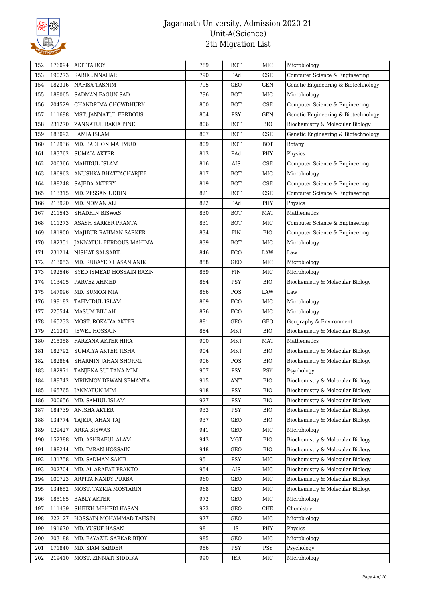

| 152 | 176094 | <b>ADITTA ROY</b>         | 789 | <b>BOT</b>     | $_{\rm MIC}$ | Microbiology                        |
|-----|--------|---------------------------|-----|----------------|--------------|-------------------------------------|
| 153 | 190273 | SABIKUNNAHAR              | 790 | PAd            | <b>CSE</b>   | Computer Science & Engineering      |
| 154 | 182316 | NAFISA TASNIM             | 795 | GEO            | <b>GEN</b>   | Genetic Engineering & Biotechnology |
| 155 | 188065 | SADMAN FAGUN SAD          | 796 | <b>BOT</b>     | MIC          | Microbiology                        |
| 156 | 204529 | CHANDRIMA CHOWDHURY       | 800 | <b>BOT</b>     | CSE          | Computer Science & Engineering      |
| 157 | 111698 | MST. JANNATUL FERDOUS     | 804 | PSY            | <b>GEN</b>   | Genetic Engineering & Biotechnology |
| 158 | 231270 | ZANNATUL BAKIA PINE       | 806 | <b>BOT</b>     | <b>BIO</b>   | Biochemistry & Molecular Biology    |
| 159 | 183092 | LAMIA ISLAM               | 807 | <b>BOT</b>     | CSE          | Genetic Engineering & Biotechnology |
| 160 | 112936 | MD. BADHON MAHMUD         | 809 | <b>BOT</b>     | <b>BOT</b>   | Botany                              |
| 161 | 183762 | <b>SUMAIA AKTER</b>       | 813 | PAd            | PHY          | Physics                             |
| 162 | 206366 | MAHIDUL ISLAM             | 816 | AIS            | CSE          | Computer Science & Engineering      |
| 163 | 186963 | ANUSHKA BHATTACHARJEE     | 817 | <b>BOT</b>     | MIC          | Microbiology                        |
| 164 | 188248 | <b>SAJEDA AKTERY</b>      | 819 | <b>BOT</b>     | CSE          | Computer Science & Engineering      |
| 165 | 113315 | MD. ZESSAN UDDIN          | 821 | <b>BOT</b>     | CSE          | Computer Science & Engineering      |
| 166 | 213920 | MD. NOMAN ALI             | 822 | PAd            | PHY          | Physics                             |
| 167 | 211543 | <b>SHADHIN BISWAS</b>     | 830 | <b>BOT</b>     | <b>MAT</b>   | Mathematics                         |
| 168 | 111273 | ASASH SARKER PRANTA       | 831 | <b>BOT</b>     | MIC          | Computer Science & Engineering      |
| 169 | 181900 | MAJIBUR RAHMAN SARKER     | 834 | <b>FIN</b>     | <b>BIO</b>   | Computer Science & Engineering      |
| 170 | 182351 | JANNATUL FERDOUS MAHIMA   | 839 | <b>BOT</b>     | MIC          | Microbiology                        |
| 171 | 231214 | NISHAT SALSABIL           | 846 | ECO            | LAW          | Law                                 |
| 172 | 213053 | MD. RUBAYED HASAN ANIK    | 858 | GEO            | $_{\rm MIC}$ | Microbiology                        |
| 173 | 192546 | SYED ISMEAD HOSSAIN RAZIN | 859 | FIN            | $_{\rm MIC}$ | Microbiology                        |
| 174 | 113405 | PARVEZ AHMED              | 864 | <b>PSY</b>     | <b>BIO</b>   | Biochemistry & Molecular Biology    |
| 175 | 147096 | MD. SUMON MIA             | 866 | POS            | LAW          | Law                                 |
| 176 | 199182 | TAHMIDUL ISLAM            | 869 | ECO            | MIC          | Microbiology                        |
| 177 | 225544 | MASUM BILLAH              | 876 | ECO            | MIC          | Microbiology                        |
| 178 | 165233 | MOST. ROKAIYA AKTER       | 881 | GEO            | GEO          | Geography & Environment             |
| 179 | 211341 | JEWEL HOSSAIN             | 884 | <b>MKT</b>     | <b>BIO</b>   | Biochemistry & Molecular Biology    |
| 180 | 215358 | FARZANA AKTER HIRA        | 900 | <b>MKT</b>     | <b>MAT</b>   | Mathematics                         |
| 181 | 182792 | SUMAIYA AKTER TISHA       | 904 | <b>MKT</b>     | <b>BIO</b>   | Biochemistry & Molecular Biology    |
| 182 | 182864 | SHARMIN JAHAN SHORMI      | 906 | POS            | <b>BIO</b>   | Biochemistry & Molecular Biology    |
| 183 | 182971 | TANJENA SULTANA MIM       | 907 | PSY            | PSY          | Psychology                          |
| 184 | 189742 | MRINMOY DEWAN SEMANTA     | 915 | $\mathbf{ANT}$ | <b>BIO</b>   | Biochemistry & Molecular Biology    |
| 185 | 165765 | <b>JANNATUN MIM</b>       | 918 | PSY            | <b>BIO</b>   | Biochemistry & Molecular Biology    |
| 186 | 200656 | MD. SAMIUL ISLAM          | 927 | PSY            | <b>BIO</b>   | Biochemistry & Molecular Biology    |
| 187 | 184739 | ANISHA AKTER              | 933 | PSY            | <b>BIO</b>   | Biochemistry & Molecular Biology    |
| 188 | 134774 | TAJKIA JAHAN TAJ          | 937 | GEO            | <b>BIO</b>   | Biochemistry & Molecular Biology    |
| 189 | 129427 | <b>ARKA BISWAS</b>        | 941 | GEO            | MIC          | Microbiology                        |
| 190 | 152388 | MD. ASHRAFUL ALAM         | 943 | MGT            | BIO          | Biochemistry & Molecular Biology    |
| 191 | 188244 | MD. IMRAN HOSSAIN         | 948 | GEO            | <b>BIO</b>   | Biochemistry & Molecular Biology    |
| 192 | 131758 | MD. SADMAN SAKIB          | 951 | PSY            | MIC          | Biochemistry & Molecular Biology    |
| 193 | 202704 | MD. AL ARAFAT PRANTO      | 954 | AIS            | MIC          | Biochemistry & Molecular Biology    |
| 194 | 100723 | ARPITA NANDY PURBA        | 960 | GEO            | MIC          | Biochemistry & Molecular Biology    |
| 195 | 134652 | MOST. TAZKIA MOSTARIN     | 968 | GEO            | MIC          | Biochemistry & Molecular Biology    |
| 196 | 185165 | <b>BABLY AKTER</b>        | 972 | GEO            | MIC          | Microbiology                        |
| 197 | 111439 | SHEIKH MEHEDI HASAN       | 973 | GEO            | CHE          | Chemistry                           |
| 198 | 222127 | HOSSAIN MOHAMMAD TAHSIN   | 977 | GEO            | MIC          | Microbiology                        |
| 199 | 191670 | MD. YUSUF HASAN           | 981 | IS             | PHY          | Physics                             |
| 200 | 203188 | MD. BAYAZID SARKAR BIJOY  | 985 | GEO            | MIC          | Microbiology                        |
| 201 | 171840 | MD. SIAM SARDER           | 986 | PSY            | PSY          | Psychology                          |
| 202 | 219410 | MOST. ZINNATI SIDDIKA     | 990 | IER            | MIC          | Microbiology                        |
|     |        |                           |     |                |              |                                     |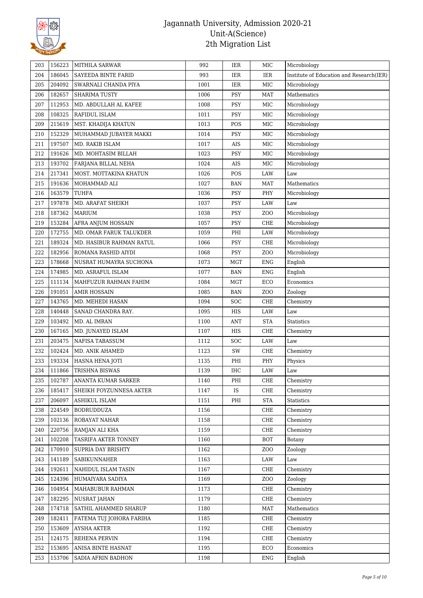

| 203        | 156223 | MITHILA SARWAR                         | 992  | IER        | MIC              | Microbiology                             |
|------------|--------|----------------------------------------|------|------------|------------------|------------------------------------------|
| 204        | 186045 | SAYEEDA BINTE FARID                    | 993  | IER        | <b>IER</b>       | Institute of Education and Research(IER) |
| 205        | 204092 | SWARNALI CHANDA PIYA                   | 1001 | IER        | MIC              | Microbiology                             |
| 206        | 182657 | <b>SHARIMA TUSTY</b>                   | 1006 | PSY        | <b>MAT</b>       | Mathematics                              |
| 207        | 112953 | MD. ABDULLAH AL KAFEE                  | 1008 | <b>PSY</b> | MIC              | Microbiology                             |
| 208        | 108325 | RAFIDUL ISLAM                          | 1011 | PSY        | $\rm{MIC}$       | Microbiology                             |
| 209        | 215619 | MST. KHADIJA KHATUN                    | 1013 | POS        | $\rm{MIC}$       | Microbiology                             |
| 210        | 152329 | MUHAMMAD JUBAYER MAKKI                 | 1014 | PSY        | MIC              | Microbiology                             |
| 211        | 197507 | MD. RAKIB ISLAM                        | 1017 | AIS        | MIC              | Microbiology                             |
| 212        | 191626 | MD. MOHTASIM BILLAH                    | 1023 | PSY        | MIC              | Microbiology                             |
| 213        | 193702 | FARJANA BILLAL NEHA                    | 1024 | AIS        | MIC              | Microbiology                             |
| 214        | 217341 | MOST. MOTTAKINA KHATUN                 | 1026 | POS        | LAW              | Law                                      |
| 215        | 191636 | MOHAMMAD ALI                           | 1027 | <b>BAN</b> | <b>MAT</b>       | Mathematics                              |
| 216        | 163579 | TUHFA                                  | 1036 | PSY        | PHY              | Microbiology                             |
| 217        | 197878 | MD. ARAFAT SHEIKH                      | 1037 | PSY        | LAW              | Law                                      |
| 218        | 187362 | <b>MARIUM</b>                          | 1038 | PSY        | Z <sub>O</sub> O | Microbiology                             |
| 219        | 153284 | AFRA ANJUM HOSSAIN                     | 1057 | PSY        | ${\rm CHE}$      | Microbiology                             |
| 220        | 172755 | MD. OMAR FARUK TALUKDER                | 1059 | PHI        | LAW              | Microbiology                             |
| 221        | 189324 | MD. HASIBUR RAHMAN RATUL               | 1066 | PSY        | CHE              | Microbiology                             |
| 222        | 182956 | ROMANA RASHID AIYDI                    | 1068 | PSY        | Z <sub>O</sub> O | Microbiology                             |
| 223        | 178668 | NUSRAT HUMAYRA SUCHONA                 | 1073 | <b>MGT</b> | <b>ENG</b>       | English                                  |
| 224        | 174985 | MD. ASRAFUL ISLAM                      | 1077 | BAN        | <b>ENG</b>       | English                                  |
| 225        | 111134 | MAHFUZUR RAHMAN FAHIM                  | 1084 | <b>MGT</b> | ECO              | Economics                                |
| 226        | 191051 | <b>AMIR HOSSAIN</b>                    | 1085 | <b>BAN</b> | ZO <sub>O</sub>  | Zoology                                  |
| 227        | 143765 | MD. MEHEDI HASAN                       | 1094 | SOC        | CHE              | Chemistry                                |
| 228        | 140448 | SANAD CHANDRA RAY.                     | 1095 | HIS        | LAW              | $_{\mbox{\footnotesize{Law}}}$           |
| 229        | 103492 | MD. AL IMRAN                           | 1100 | <b>ANT</b> | <b>STA</b>       | Statistics                               |
| 230        | 167165 | MD. JUNAYED ISLAM                      | 1107 | HIS        | CHE              | Chemistry                                |
| 231        | 203475 | NAFISA TABASSUM                        | 1112 | <b>SOC</b> | LAW              | $_{\mbox{\footnotesize{Law}}}$           |
| 232        | 102424 | MD. ANIK AHAMED                        | 1123 | SW         | CHE              | Chemistry                                |
| 233        | 193334 | HASNA HENA JOTI                        | 1135 | PHI        | PHY              | Physics                                  |
| 234        | 111866 | TRISHNA BISWAS                         | 1139 | <b>IHC</b> | LAW              | Law                                      |
| 235        | 102787 | ANANTA KUMAR SARKER                    | 1140 | PHI        | CHE              | Chemistry                                |
| 236        | 185417 | SHEIKH FOYZUNNESA AKTER                | 1147 | IS         | ${\rm CHE}$      | Chemistry                                |
| 237        | 206097 | ASHIKUL ISLAM                          | 1151 | $\rm PHI$  | <b>STA</b>       | Statistics                               |
| 238        | 224549 | <b>BODRUDDUZA</b>                      | 1156 |            | CHE              | Chemistry                                |
| 239        | 102136 | ROBAYAT NAHAR                          | 1158 |            | CHE              |                                          |
|            | 220756 |                                        |      |            | CHE              | Chemistry                                |
| 240<br>241 | 102208 | RAMJAN ALI KHA<br>TASRIFA AKTER TONNEY | 1159 |            | <b>BOT</b>       | Chemistry<br>Botany                      |
|            |        |                                        | 1160 |            |                  |                                          |
| 242        | 170910 | SUPRIA DAY BRISHTY                     | 1162 |            | Z <sub>0</sub>   | Zoology                                  |
| 243        | 141189 | SABIKUNNAHER                           | 1163 |            | LAW              | Law                                      |
| 244        | 192611 | NAHIDUL ISLAM TASIN                    | 1167 |            | CHE              | Chemistry                                |
| 245        | 124396 | HUMAIYARA SADIYA                       | 1169 |            | ZO <sub>O</sub>  | Zoology                                  |
| 246        | 104954 | MAHABUBUR RAHMAN                       | 1173 |            | CHE              | Chemistry                                |
| 247        | 182295 | <b>NUSRAT JAHAN</b>                    | 1179 |            | CHE              | Chemistry                                |
| 248        | 174718 | SATHIL AHAMMED SHARUP                  | 1180 |            | <b>MAT</b>       | Mathematics                              |
| 249        | 182411 | FATEMA TUJ JOHORA FARIHA               | 1185 |            | CHE              | Chemistry                                |
| 250        | 153609 | <b>AYSHA AKTER</b>                     | 1192 |            | CHE              | Chemistry                                |
| 251        | 124175 | REHENA PERVIN                          | 1194 |            | CHE              | Chemistry                                |
| 252        | 153695 | ANISA BINTE HASNAT                     | 1195 |            | ECO              | Economics                                |
| 253        | 153706 | SADIA AFRIN BADHON                     | 1198 |            | <b>ENG</b>       | English                                  |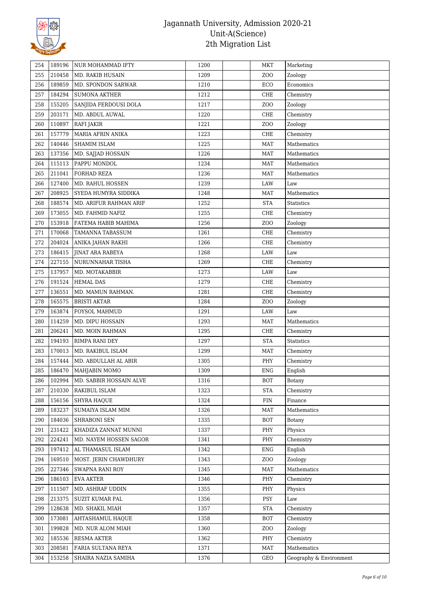

| 254 | 189196 | NUR MOHAMMAD IFTY       | 1200 | <b>MKT</b>       | Marketing               |
|-----|--------|-------------------------|------|------------------|-------------------------|
| 255 | 210458 | MD. RAKIB HUSAIN        | 1209 | ZO <sub>O</sub>  | Zoology                 |
| 256 | 189859 | MD. SPONDON SARWAR      | 1210 | ECO              | Economics               |
| 257 | 184294 | <b>SUMONA AKTHER</b>    | 1212 | ${\rm CHE}$      | Chemistry               |
| 258 | 155205 | SANJIDA FERDOUSI DOLA   | 1217 | ZO <sub>O</sub>  | Zoology                 |
| 259 | 203171 | MD. ABDUL AUWAL         | 1220 | CHE              | Chemistry               |
| 260 | 110897 | RAFI JAKIR              | 1221 | ZOO              | Zoology                 |
| 261 | 157779 | MARIA AFRIN ANIKA       | 1223 | ${\rm CHE}$      | Chemistry               |
| 262 | 140446 | SHAMIM ISLAM            | 1225 | <b>MAT</b>       | Mathematics             |
| 263 | 137356 | MD. SAJJAD HOSSAIN      | 1226 | <b>MAT</b>       | Mathematics             |
| 264 | 115113 | PAPPU MONDOL            | 1234 | <b>MAT</b>       | Mathematics             |
| 265 | 211041 | FORHAD REZA             | 1236 | <b>MAT</b>       | Mathematics             |
| 266 | 127400 | MD. RAHUL HOSSEN        | 1239 | LAW              | Law                     |
| 267 | 208925 | SYEDA HUMYRA SIDDIKA    | 1248 | MAT              | Mathematics             |
| 268 | 188574 | MD. ARIFUR RAHMAN ARIF  | 1252 | <b>STA</b>       | Statistics              |
| 269 | 173055 | MD. FAHMID NAFIZ        | 1255 | CHE              | Chemistry               |
| 270 | 153918 | FATEMA HABIB MAHIMA     | 1256 | ZO <sub>O</sub>  | Zoology                 |
| 271 | 170068 | TAMANNA TABASSUM        | 1261 | CHE              | Chemistry               |
| 272 | 204024 | ANIKA JAHAN RAKHI       | 1266 | ${\rm CHE}$      | Chemistry               |
| 273 | 186415 | <b>JINAT ARA RABEYA</b> | 1268 | LAW              | Law                     |
| 274 | 227155 | NURUNNAHAR TISHA        | 1269 | ${\rm CHE}$      | Chemistry               |
| 275 | 137957 | MD. MOTAKABBIR          | 1273 | LAW              | Law                     |
| 276 | 191524 | <b>HEMAL DAS</b>        | 1279 | CHE              | Chemistry               |
| 277 | 136551 | MD. MAMUN RAHMAN.       | 1281 | CHE              | Chemistry               |
| 278 | 165575 | <b>BRISTI AKTAR</b>     | 1284 | ZO <sub>O</sub>  | Zoology                 |
| 279 | 163874 | FOYSOL MAHMUD           | 1291 | LAW              | Law                     |
| 280 | 114259 | MD. DIPU HOSSAIN        | 1293 | MAT              | Mathematics             |
| 281 | 206241 | MD. MOIN RAHMAN         | 1295 | CHE              | Chemistry               |
| 282 | 194193 | RIMPA RANI DEY          | 1297 | <b>STA</b>       | Statistics              |
| 283 | 170013 | MD. RAKIBUL ISLAM       | 1299 | MAT              | Chemistry               |
| 284 | 157444 | MD. ABDULLAH AL ABIR    | 1305 | PHY              | Chemistry               |
| 285 | 186470 | MAHJABIN MOMO           | 1309 | ENG              | English                 |
| 286 | 102994 | MD. SABBIR HOSSAIN ALVE | 1316 | <b>BOT</b>       | Botany                  |
| 287 | 210330 | RAKIBUL ISLAM           | 1323 | <b>STA</b>       | Chemistry               |
| 288 | 156156 | SHYRA HAQUE             | 1324 | <b>FIN</b>       | Finance                 |
| 289 | 183237 | SUMAIYA ISLAM MIM       | 1326 | <b>MAT</b>       | Mathematics             |
| 290 | 184036 | SHRABONI SEN            | 1335 | <b>BOT</b>       | <b>Botany</b>           |
| 291 | 231422 | KHADIZA ZANNAT MUNNI    | 1337 | PHY              | Physics                 |
| 292 | 224241 | MD. NAYEM HOSSEN SAGOR  | 1341 | PHY              | Chemistry               |
| 293 | 197412 | AL THAMASUL ISLAM       | 1342 | ENG              | English                 |
| 294 | 169510 | MOST. JERIN CHAWDHURY   | 1343 | Z <sub>O</sub> O | Zoology                 |
| 295 | 227346 | <b>SWAPNA RANI ROY</b>  | 1345 | <b>MAT</b>       | Mathematics             |
| 296 | 186103 | EVA AKTER               | 1346 | PHY              | Chemistry               |
| 297 | 111507 | MD. ASHRAF UDDIN        | 1355 | PHY              | Physics                 |
| 298 | 213375 | SUZIT KUMAR PAL         | 1356 | <b>PSY</b>       | Law                     |
| 299 | 128638 | MD. SHAKIL MIAH         | 1357 | <b>STA</b>       | Chemistry               |
|     | 173081 | AHTASHAMUL HAQUE        | 1358 | <b>BOT</b>       | Chemistry               |
| 300 |        |                         |      |                  |                         |
| 301 | 199828 | MD. NUR ALOM MIAH       | 1360 | Z <sub>O</sub> O | Zoology                 |
| 302 | 185536 | <b>RESMA AKTER</b>      | 1362 | PHY              | Chemistry               |
| 303 | 208581 | FARIA SULTANA REYA      | 1371 | <b>MAT</b>       | Mathematics             |
| 304 | 153258 | SHAIRA NAZIA SAMIHA     | 1376 | GEO              | Geography & Environment |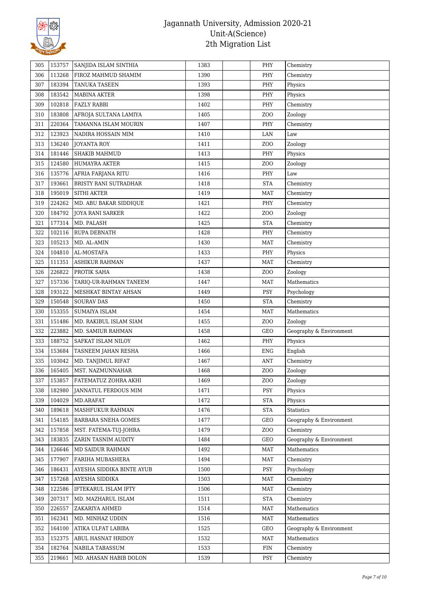

| 305 | 153757 | SANJIDA ISLAM SINTHIA     | 1383 | PHY             | Chemistry               |
|-----|--------|---------------------------|------|-----------------|-------------------------|
| 306 | 113268 | FIROZ MAHMUD SHAMIM       | 1390 | PHY             | Chemistry               |
| 307 | 183394 | TANUKA TASEEN             | 1393 | PHY             | Physics                 |
| 308 | 183542 | MABINA AKTER              | 1398 | PHY             | Physics                 |
| 309 | 102818 | <b>FAZLY RABBI</b>        | 1402 | PHY             | Chemistry               |
| 310 | 183808 | AFROJA SULTANA LAMIYA     | 1405 | ZO <sub>O</sub> | Zoology                 |
| 311 | 220364 | TAMANNA ISLAM MOURIN      | 1407 | PHY             | Chemistry               |
| 312 | 123923 | NADIRA HOSSAIN MIM        | 1410 | $\rm LAN$       | Law                     |
| 313 | 136240 | <b>JOYANTA ROY</b>        | 1411 | ZOO             | Zoology                 |
| 314 | 181446 | <b>SHAKIB MAHMUD</b>      | 1413 | PHY             | Physics                 |
| 315 | 124580 | <b>HUMAYRA AKTER</b>      | 1415 | ZO <sub>O</sub> | Zoology                 |
| 316 | 135776 | AFRIA FARJANA RITU        | 1416 | PHY             | Law                     |
| 317 | 193661 | BRISTY RANI SUTRADHAR     | 1418 | <b>STA</b>      | Chemistry               |
| 318 | 195019 | <b>SITHI AKTER</b>        | 1419 | <b>MAT</b>      | Chemistry               |
| 319 | 224262 | MD. ABU BAKAR SIDDIQUE    | 1421 | PHY             | Chemistry               |
| 320 | 184792 | JOYA RANI SARKER          | 1422 | ZOO             | Zoology                 |
| 321 | 177314 | MD. PALASH                | 1425 | <b>STA</b>      | Chemistry               |
| 322 | 102116 | RUPA DEBNATH              | 1428 | PHY             | Chemistry               |
| 323 | 105213 | MD. AL-AMIN               | 1430 | <b>MAT</b>      | Chemistry               |
| 324 | 104810 | AL-MOSTAFA                | 1433 | PHY             | Physics                 |
| 325 | 111351 | ASHIKUR RAHMAN            | 1437 | <b>MAT</b>      | Chemistry               |
| 326 | 226822 | PROTIK SAHA               | 1438 | ZO <sub>O</sub> | Zoology                 |
| 327 | 157336 | TARIQ-UR-RAHMAN TANEEM    | 1447 | <b>MAT</b>      | Mathematics             |
| 328 | 193122 | MESHKAT BINTAY AHSAN      | 1449 | PSY             | Psychology              |
| 329 | 150548 | <b>SOURAV DAS</b>         | 1450 | <b>STA</b>      | Chemistry               |
| 330 | 153355 | <b>SUMAIYA ISLAM</b>      | 1454 | MAT             | Mathematics             |
| 331 | 151486 | MD. RAKIBUL ISLAM SIAM    | 1455 | ZOO             | Zoology                 |
| 332 | 223882 | MD. SAMIUR RAHMAN         | 1458 | GEO             | Geography & Environment |
| 333 | 188752 | SAFKAT ISLAM NILOY        | 1462 | PHY             | Physics                 |
| 334 | 153684 | TASNEEM JAHAN RESHA       | 1466 | <b>ENG</b>      | English                 |
| 335 | 103042 | MD. TANJIMUL RIFAT        | 1467 | <b>ANT</b>      | Chemistry               |
| 336 | 165405 | MST. NAZMUNNAHAR          | 1468 | ZOO             | Zoology                 |
| 337 | 153857 | FATEMATUZ ZOHRA AKHI      | 1469 | ZOO             | Zoology                 |
| 338 | 182980 | JANNATUL FERDOUS MIM      | 1471 | <b>PSY</b>      | Physics                 |
| 339 | 104029 | MD.ARAFAT                 | 1472 | <b>STA</b>      | Physics                 |
| 340 | 189618 | MASHFUKUR RAHMAN          | 1476 | <b>STA</b>      | <b>Statistics</b>       |
| 341 | 154185 | BARBARA SNEHA GOMES       | 1477 | GEO             | Geography & Environment |
| 342 | 157858 | MST. FATEMA-TUJ-JOHRA     | 1479 | ZO <sub>O</sub> | Chemistry               |
| 343 | 183835 | ZARIN TASNIM AUDITY       | 1484 | GEO             | Geography & Environment |
| 344 | 126646 | MD SAIDUR RAHMAN          | 1492 | <b>MAT</b>      | Mathematics             |
| 345 | 177907 | FARIHA MUBASHERA          | 1494 | <b>MAT</b>      | Chemistry               |
| 346 | 186431 | AYESHA SIDDIKA BINTE AYUB | 1500 | <b>PSY</b>      | Psychology              |
| 347 | 157268 | AYESHA SIDDIKA            | 1503 | <b>MAT</b>      | Chemistry               |
| 348 | 122586 | IFTEKARUL ISLAM IFTY      | 1506 | <b>MAT</b>      | Chemistry               |
| 349 | 207317 | MD. MAZHARUL ISLAM        | 1511 | <b>STA</b>      | Chemistry               |
| 350 | 226557 | ZAKARIYA AHMED            | 1514 | <b>MAT</b>      | Mathematics             |
| 351 | 162341 | MD. MINHAZ UDDIN          | 1516 | <b>MAT</b>      | Mathematics             |
| 352 | 164100 | ATIKA ULFAT LABIBA        | 1525 | GEO             | Geography & Environment |
| 353 | 152375 | ABUL HASNAT HRIDOY        | 1532 | <b>MAT</b>      | Mathematics             |
|     | 182764 | NABILA TABASSUM           | 1533 | <b>FIN</b>      | Chemistry               |
| 354 |        |                           |      |                 |                         |
| 355 | 219661 | MD. AHASAN HABIB DOLON    | 1539 | PSY             | Chemistry               |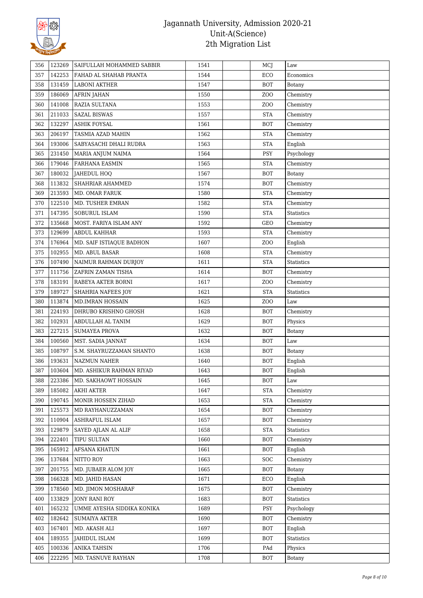

| 356 | 123269 | SAIFULLAH MOHAMMED SABBIR  | 1541 | MCJ             | Law               |
|-----|--------|----------------------------|------|-----------------|-------------------|
| 357 | 142253 | FAHAD AL SHAHAB PRANTA     | 1544 | ECO             | Economics         |
| 358 | 131459 | LABONI AKTHER              | 1547 | <b>BOT</b>      | Botany            |
| 359 | 186069 | <b>AFRIN JAHAN</b>         | 1550 | ZOO             | Chemistry         |
| 360 | 141008 | RAZIA SULTANA              | 1553 | ZO <sub>O</sub> | Chemistry         |
| 361 | 211033 | <b>SAZAL BISWAS</b>        | 1557 | <b>STA</b>      | Chemistry         |
| 362 | 132297 | ASHIK FOYSAL               | 1561 | BOT             | Chemistry         |
| 363 | 206197 | TASMIA AZAD MAHIN          | 1562 | <b>STA</b>      | Chemistry         |
| 364 | 193006 | SABYASACHI DHALI RUDRA     | 1563 | <b>STA</b>      | English           |
| 365 | 231450 | MARIA ANJUM NAIMA          | 1564 | PSY             | Psychology        |
| 366 | 179046 | FARHANA EASMIN             | 1565 | <b>STA</b>      | Chemistry         |
| 367 | 180032 | JAHEDUL HOQ                | 1567 | <b>BOT</b>      | <b>Botany</b>     |
| 368 | 113832 | SHAHRIAR AHAMMED           | 1574 | <b>BOT</b>      | Chemistry         |
| 369 | 213593 | MD. OMAR FARUK             | 1580 | <b>STA</b>      | Chemistry         |
| 370 | 122510 | MD. TUSHER EMRAN           | 1582 | <b>STA</b>      | Chemistry         |
| 371 | 147395 | SOBURUL ISLAM              | 1590 | <b>STA</b>      | <b>Statistics</b> |
| 372 | 135668 | MOST. FARIYA ISLAM ANY     | 1592 | GEO             | Chemistry         |
| 373 | 129699 | ABDUL KAHHAR               | 1593 | <b>STA</b>      | Chemistry         |
| 374 | 176964 | MD. SAIF ISTIAQUE BADHON   | 1607 | ZOO             | English           |
| 375 | 102955 | MD. ABUL BASAR             | 1608 | <b>STA</b>      | Chemistry         |
| 376 | 107490 | NAIMUR RAHMAN DURJOY       | 1611 | <b>STA</b>      | Statistics        |
|     |        |                            |      |                 |                   |
| 377 | 111756 | ZAFRIN ZAMAN TISHA         | 1614 | <b>BOT</b>      | Chemistry         |
| 378 | 183191 | RABEYA AKTER BORNI         | 1617 | ZO <sub>O</sub> | Chemistry         |
| 379 | 189727 | SHAHRIA NAFEES JOY         | 1621 | <b>STA</b>      | <b>Statistics</b> |
| 380 | 113874 | MD.IMRAN HOSSAIN           | 1625 | ZO <sub>O</sub> | Law               |
| 381 | 224193 | DHRUBO KRISHNO GHOSH       | 1628 | BOT             | Chemistry         |
| 382 | 102931 | ABDULLAH AL TANIM          | 1629 | BOT             | Physics           |
| 383 | 227215 | <b>SUMAYEA PROVA</b>       | 1632 | <b>BOT</b>      | Botany            |
| 384 | 100560 | MST. SADIA JANNAT          | 1634 | <b>BOT</b>      | Law               |
| 385 | 108797 | S.M. SHAYRUZZAMAN SHANTO   | 1638 | BOT             | Botany            |
| 386 | 193631 | <b>NAZMUN NAHER</b>        | 1640 | BOT             | English           |
| 387 | 103604 | MD. ASHIKUR RAHMAN RIYAD   | 1643 | <b>BOT</b>      | English           |
| 388 | 223386 | MD. SAKHAOWT HOSSAIN       | 1645 | <b>BOT</b>      | Law               |
| 389 | 185082 | <b>AKHI AKTER</b>          | 1647 | <b>STA</b>      | Chemistry         |
| 390 | 190745 | MONIR HOSSEN ZIHAD         | 1653 | <b>STA</b>      | Chemistry         |
| 391 | 125573 | MD RAYHANUZZAMAN           | 1654 | <b>BOT</b>      | Chemistry         |
| 392 | 110904 | <b>ASHRAFUL ISLAM</b>      | 1657 | <b>BOT</b>      | Chemistry         |
| 393 | 129879 | SAYED AJLAN AL ALIF        | 1658 | <b>STA</b>      | Statistics        |
| 394 | 222401 | <b>TIPU SULTAN</b>         | 1660 | <b>BOT</b>      | Chemistry         |
| 395 | 165912 | <b>AFSANA KHATUN</b>       | 1661 | <b>BOT</b>      | English           |
| 396 | 137684 | NITTO ROY                  | 1663 | <b>SOC</b>      | Chemistry         |
| 397 | 201755 | MD. JUBAER ALOM JOY        | 1665 | <b>BOT</b>      | Botany            |
| 398 | 166328 | MD. JAHID HASAN            | 1671 | ECO             | English           |
| 399 | 178560 | MD. JIMON MOSHARAF         | 1675 | <b>BOT</b>      | Chemistry         |
| 400 | 133829 | <b>JONY RANI ROY</b>       | 1683 | <b>BOT</b>      | <b>Statistics</b> |
| 401 | 165232 | UMME AYESHA SIDDIKA KONIKA | 1689 | PSY             | Psychology        |
| 402 | 182642 | <b>SUMAIYA AKTER</b>       | 1690 | BOT             | Chemistry         |
| 403 | 167401 | MD. AKASH ALI              | 1697 | <b>BOT</b>      | English           |
| 404 | 189355 | JAHIDUL ISLAM              | 1699 | <b>BOT</b>      | <b>Statistics</b> |
| 405 | 100336 | <b>ANIKA TAHSIN</b>        | 1706 | PAd             | Physics           |
| 406 | 222295 | MD. TASNUVE RAYHAN         | 1708 | BOT             | Botany            |
|     |        |                            |      |                 |                   |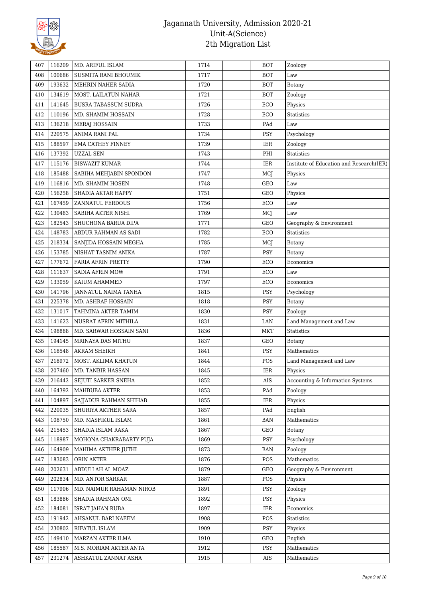

| 407 | 116209 | MD. ARIFUL ISLAM            | 1714 | <b>BOT</b> | Zoology                                  |
|-----|--------|-----------------------------|------|------------|------------------------------------------|
| 408 | 100686 | <b>SUSMITA RANI BHOUMIK</b> | 1717 | <b>BOT</b> | Law                                      |
| 409 | 193632 | MEHRIN NAHER SADIA          | 1720 | <b>BOT</b> | Botany                                   |
| 410 | 134619 | MOST. LAILATUN NAHAR        | 1721 | <b>BOT</b> | Zoology                                  |
| 411 | 141645 | <b>BUSRA TABASSUM SUDRA</b> | 1726 | ECO        | Physics                                  |
| 412 | 110196 | MD. SHAMIM HOSSAIN          | 1728 | ECO        | Statistics                               |
| 413 | 136218 | MERAJ HOSSAIN               | 1733 | PAd        | Law                                      |
| 414 | 220575 | ANIMA RANI PAL              | 1734 | PSY        | Psychology                               |
| 415 | 188597 | <b>EMA CATHEY FINNEY</b>    | 1739 | IER        | Zoology                                  |
| 416 | 137392 | <b>UZZAL SEN</b>            | 1743 | PHI        | <b>Statistics</b>                        |
| 417 | 115176 | <b>BISWAZIT KUMAR</b>       | 1744 | <b>IER</b> | Institute of Education and Research(IER) |
| 418 | 185488 | SABIHA MEHJABIN SPONDON     | 1747 | MCJ        | Physics                                  |
| 419 | 116816 | MD. SHAMIM HOSEN            | 1748 | GEO        | Law                                      |
| 420 | 156258 | SHADIA AKTAR HAPPY          | 1751 | GEO        | Physics                                  |
| 421 | 167459 | ZANNATUL FERDOUS            | 1756 | ECO        | Law                                      |
| 422 | 130483 | SABIHA AKTER NISHI          | 1769 | MCJ        | Law                                      |
| 423 | 182543 | SHUCHONA BARUA DIPA         | 1771 | GEO        | Geography & Environment                  |
| 424 | 148783 | ABDUR RAHMAN AS SADI        | 1782 | ECO        | <b>Statistics</b>                        |
| 425 | 218334 | SANJIDA HOSSAIN MEGHA       | 1785 | MCJ        | <b>Botany</b>                            |
| 426 | 153785 | NISHAT TASNIM ANIKA         | 1787 | <b>PSY</b> | <b>Botany</b>                            |
| 427 | 177672 | <b>FARIA AFRIN PRETTY</b>   | 1790 | ECO        | Economics                                |
| 428 | 111637 | SADIA AFRIN MOW             | 1791 | ECO        | Law                                      |
| 429 | 133059 | KAIUM AHAMMED               | 1797 | ECO        | Economics                                |
| 430 | 141796 | JANNATUL NAIMA TANHA        | 1815 | <b>PSY</b> | Psychology                               |
| 431 | 225378 | MD. ASHRAF HOSSAIN          | 1818 | PSY        | Botany                                   |
| 432 | 131017 | TAHMINA AKTER TAMIM         | 1830 | PSY        | Zoology                                  |
| 433 | 141623 | NUSRAT AFRIN MITHILA        | 1831 | LAN        | Land Management and Law                  |
| 434 | 198888 | MD. SARWAR HOSSAIN SANI     | 1836 | <b>MKT</b> | Statistics                               |
| 435 | 194145 | MRINAYA DAS MITHU           | 1837 | GEO        | Botany                                   |
| 436 | 118548 | <b>AKRAM SHEIKH</b>         | 1841 | PSY        | Mathematics                              |
| 437 | 218972 | MOST. AKLIMA KHATUN         | 1844 | POS        | Land Management and Law                  |
| 438 | 207460 | MD. TANBIR HASSAN           | 1845 | <b>IER</b> | Physics                                  |
| 439 | 216442 | SEJUTI SARKER SNEHA         | 1852 | AIS        | Accounting & Information Systems         |
| 440 | 164392 | MAHBUBA AKTER               | 1853 | PAd        | Zoology                                  |
| 441 | 104897 | SAJJADUR RAHMAN SHIHAB      | 1855 | IER        | Physics                                  |
| 442 | 220035 | SHURIYA AKTHER SARA         | 1857 | PAd        | English                                  |
| 443 | 108750 | MD. MASFIKUL ISLAM          | 1861 | <b>BAN</b> | Mathematics                              |
| 444 | 215453 | SHADIA ISLAM RAKA           | 1867 | GEO        | Botany                                   |
| 445 | 118987 | MOHONA CHAKRABARTY PUJA     | 1869 | PSY        | Psychology                               |
|     | 164909 | MAHIMA AKTHER JUTHI         | 1873 | BAN        |                                          |
| 446 | 183083 | ORIN AKTER                  | 1876 | POS        | Zoology<br>Mathematics                   |
| 447 |        |                             |      |            | Geography & Environment                  |
| 448 | 202631 | ABDULLAH AL MOAZ            | 1879 | GEO        |                                          |
| 449 | 202834 | MD. ANTOR SARKAR            | 1887 | POS        | Physics                                  |
| 450 | 117906 | MD. NAIMUR RAHAMAN NIROB    | 1891 | <b>PSY</b> | Zoology                                  |
| 451 | 183886 | SHADIA RAHMAN OMI           | 1892 | PSY        | Physics                                  |
| 452 | 184081 | <b>ISRAT JAHAN RUBA</b>     | 1897 | IER        | Economics                                |
| 453 | 191942 | AHSANUL BARI NAEEM          | 1908 | POS        | <b>Statistics</b>                        |
| 454 | 230802 | RIFATUL ISLAM               | 1909 | <b>PSY</b> | Physics                                  |
| 455 | 149410 | MARZAN AKTER ILMA           | 1910 | GEO        | English                                  |
| 456 | 185587 | M.S. MORIAM AKTER ANTA      | 1912 | PSY        | Mathematics                              |
| 457 | 231274 | ASHKATUL ZANNAT ASHA        | 1915 | AIS        | Mathematics                              |